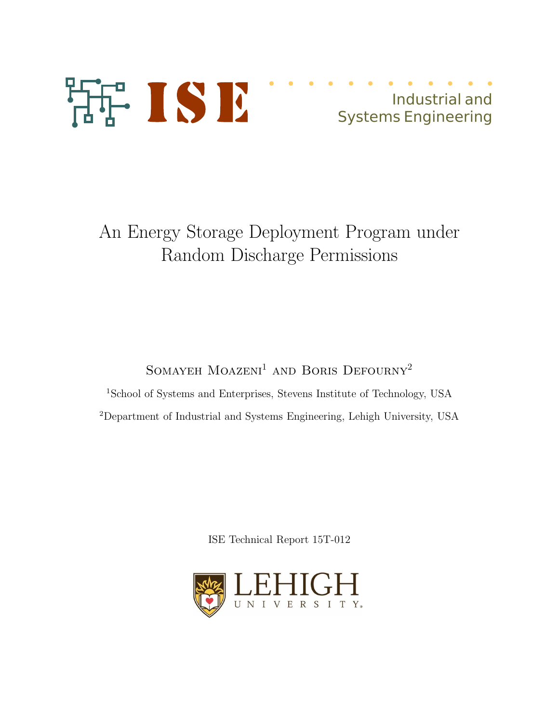

## Industrial and Systems Engineering

# An Energy Storage Deployment Program under Random Discharge Permissions

SOMAYEH  $\mathrm{MOAZENI}^{1}$  AND BORIS  $\mathrm{DEFOURNY}^{2}$ 

<sup>1</sup>School of Systems and Enterprises, Stevens Institute of Technology, USA <sup>2</sup>Department of Industrial and Systems Engineering, Lehigh University, USA

ISE Technical Report 15T-012

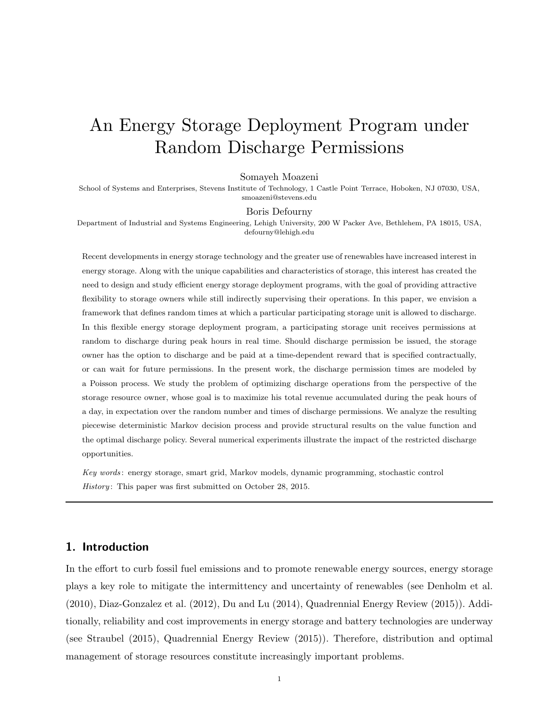## An Energy Storage Deployment Program under Random Discharge Permissions

#### Somayeh Moazeni

School of Systems and Enterprises, Stevens Institute of Technology, 1 Castle Point Terrace, Hoboken, NJ 07030, USA, smoazeni@stevens.edu

#### Boris Defourny

Department of Industrial and Systems Engineering, Lehigh University, 200 W Packer Ave, Bethlehem, PA 18015, USA, defourny@lehigh.edu

Recent developments in energy storage technology and the greater use of renewables have increased interest in energy storage. Along with the unique capabilities and characteristics of storage, this interest has created the need to design and study efficient energy storage deployment programs, with the goal of providing attractive flexibility to storage owners while still indirectly supervising their operations. In this paper, we envision a framework that defines random times at which a particular participating storage unit is allowed to discharge. In this flexible energy storage deployment program, a participating storage unit receives permissions at random to discharge during peak hours in real time. Should discharge permission be issued, the storage owner has the option to discharge and be paid at a time-dependent reward that is specified contractually, or can wait for future permissions. In the present work, the discharge permission times are modeled by a Poisson process. We study the problem of optimizing discharge operations from the perspective of the storage resource owner, whose goal is to maximize his total revenue accumulated during the peak hours of a day, in expectation over the random number and times of discharge permissions. We analyze the resulting piecewise deterministic Markov decision process and provide structural results on the value function and the optimal discharge policy. Several numerical experiments illustrate the impact of the restricted discharge opportunities.

Key words : energy storage, smart grid, Markov models, dynamic programming, stochastic control History: This paper was first submitted on October 28, 2015.

## 1. Introduction

In the effort to curb fossil fuel emissions and to promote renewable energy sources, energy storage plays a key role to mitigate the intermittency and uncertainty of renewables (see Denholm et al. (2010), Diaz-Gonzalez et al. (2012), Du and Lu (2014), Quadrennial Energy Review (2015)). Additionally, reliability and cost improvements in energy storage and battery technologies are underway (see Straubel (2015), Quadrennial Energy Review (2015)). Therefore, distribution and optimal management of storage resources constitute increasingly important problems.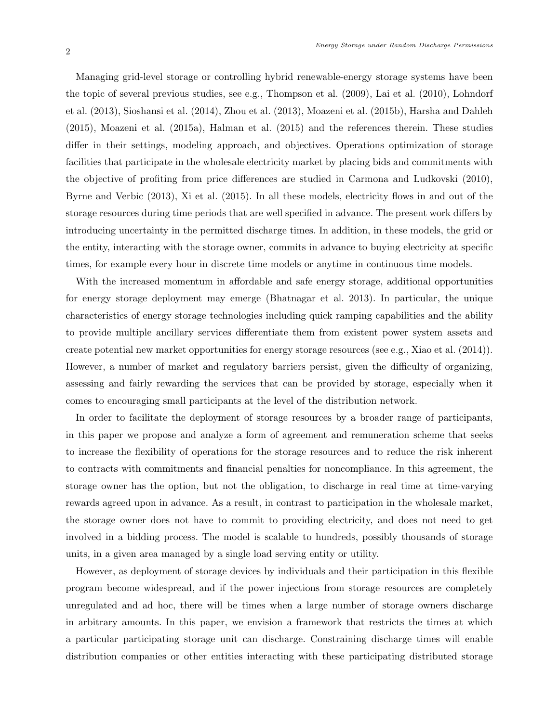Managing grid-level storage or controlling hybrid renewable-energy storage systems have been the topic of several previous studies, see e.g., Thompson et al. (2009), Lai et al. (2010), Lohndorf et al. (2013), Sioshansi et al. (2014), Zhou et al. (2013), Moazeni et al. (2015b), Harsha and Dahleh (2015), Moazeni et al. (2015a), Halman et al. (2015) and the references therein. These studies differ in their settings, modeling approach, and objectives. Operations optimization of storage facilities that participate in the wholesale electricity market by placing bids and commitments with the objective of profiting from price differences are studied in Carmona and Ludkovski (2010), Byrne and Verbic (2013), Xi et al. (2015). In all these models, electricity flows in and out of the storage resources during time periods that are well specified in advance. The present work differs by introducing uncertainty in the permitted discharge times. In addition, in these models, the grid or the entity, interacting with the storage owner, commits in advance to buying electricity at specific times, for example every hour in discrete time models or anytime in continuous time models.

With the increased momentum in affordable and safe energy storage, additional opportunities for energy storage deployment may emerge (Bhatnagar et al. 2013). In particular, the unique characteristics of energy storage technologies including quick ramping capabilities and the ability to provide multiple ancillary services differentiate them from existent power system assets and create potential new market opportunities for energy storage resources (see e.g., Xiao et al. (2014)). However, a number of market and regulatory barriers persist, given the difficulty of organizing, assessing and fairly rewarding the services that can be provided by storage, especially when it comes to encouraging small participants at the level of the distribution network.

In order to facilitate the deployment of storage resources by a broader range of participants, in this paper we propose and analyze a form of agreement and remuneration scheme that seeks to increase the flexibility of operations for the storage resources and to reduce the risk inherent to contracts with commitments and financial penalties for noncompliance. In this agreement, the storage owner has the option, but not the obligation, to discharge in real time at time-varying rewards agreed upon in advance. As a result, in contrast to participation in the wholesale market, the storage owner does not have to commit to providing electricity, and does not need to get involved in a bidding process. The model is scalable to hundreds, possibly thousands of storage units, in a given area managed by a single load serving entity or utility.

However, as deployment of storage devices by individuals and their participation in this flexible program become widespread, and if the power injections from storage resources are completely unregulated and ad hoc, there will be times when a large number of storage owners discharge in arbitrary amounts. In this paper, we envision a framework that restricts the times at which a particular participating storage unit can discharge. Constraining discharge times will enable distribution companies or other entities interacting with these participating distributed storage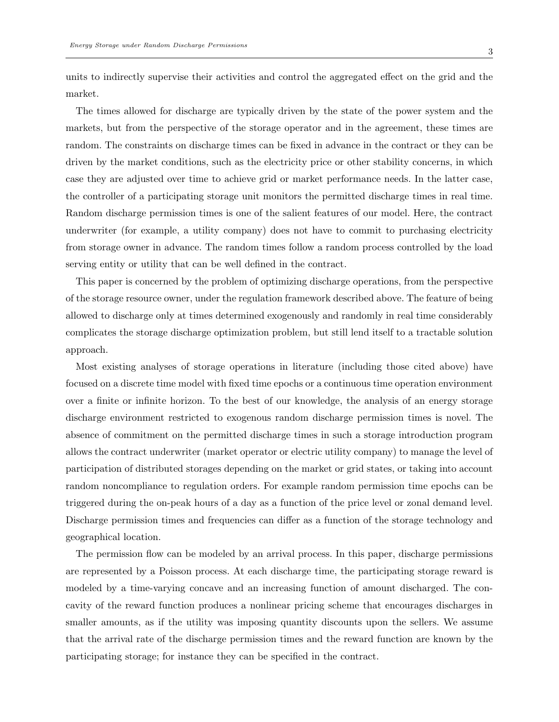units to indirectly supervise their activities and control the aggregated effect on the grid and the market.

The times allowed for discharge are typically driven by the state of the power system and the markets, but from the perspective of the storage operator and in the agreement, these times are random. The constraints on discharge times can be fixed in advance in the contract or they can be driven by the market conditions, such as the electricity price or other stability concerns, in which case they are adjusted over time to achieve grid or market performance needs. In the latter case, the controller of a participating storage unit monitors the permitted discharge times in real time. Random discharge permission times is one of the salient features of our model. Here, the contract underwriter (for example, a utility company) does not have to commit to purchasing electricity from storage owner in advance. The random times follow a random process controlled by the load serving entity or utility that can be well defined in the contract.

This paper is concerned by the problem of optimizing discharge operations, from the perspective of the storage resource owner, under the regulation framework described above. The feature of being allowed to discharge only at times determined exogenously and randomly in real time considerably complicates the storage discharge optimization problem, but still lend itself to a tractable solution approach.

Most existing analyses of storage operations in literature (including those cited above) have focused on a discrete time model with fixed time epochs or a continuous time operation environment over a finite or infinite horizon. To the best of our knowledge, the analysis of an energy storage discharge environment restricted to exogenous random discharge permission times is novel. The absence of commitment on the permitted discharge times in such a storage introduction program allows the contract underwriter (market operator or electric utility company) to manage the level of participation of distributed storages depending on the market or grid states, or taking into account random noncompliance to regulation orders. For example random permission time epochs can be triggered during the on-peak hours of a day as a function of the price level or zonal demand level. Discharge permission times and frequencies can differ as a function of the storage technology and geographical location.

The permission flow can be modeled by an arrival process. In this paper, discharge permissions are represented by a Poisson process. At each discharge time, the participating storage reward is modeled by a time-varying concave and an increasing function of amount discharged. The concavity of the reward function produces a nonlinear pricing scheme that encourages discharges in smaller amounts, as if the utility was imposing quantity discounts upon the sellers. We assume that the arrival rate of the discharge permission times and the reward function are known by the participating storage; for instance they can be specified in the contract.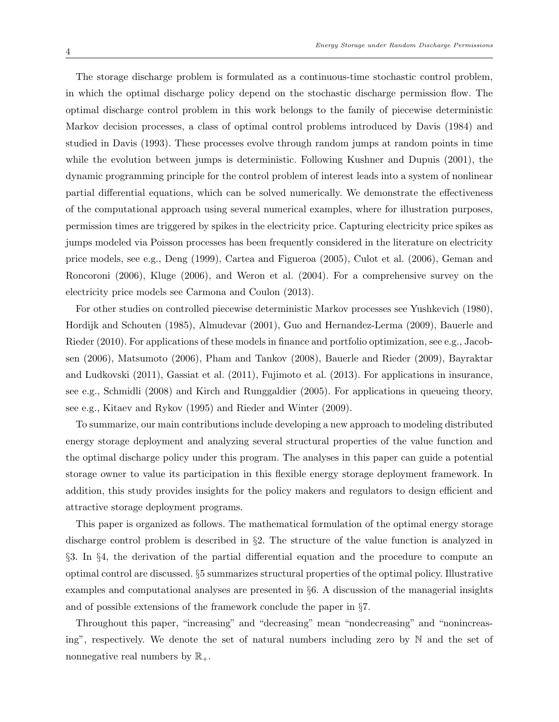The storage discharge problem is formulated as a continuous-time stochastic control problem, in which the optimal discharge policy depend on the stochastic discharge permission flow. The optimal discharge control problem in this work belongs to the family of piecewise deterministic Markov decision processes, a class of optimal control problems introduced by Davis (1984) and studied in Davis (1993). These processes evolve through random jumps at random points in time while the evolution between jumps is deterministic. Following Kushner and Dupuis (2001), the dynamic programming principle for the control problem of interest leads into a system of nonlinear partial differential equations, which can be solved numerically. We demonstrate the effectiveness of the computational approach using several numerical examples, where for illustration purposes, permission times are triggered by spikes in the electricity price. Capturing electricity price spikes as jumps modeled via Poisson processes has been frequently considered in the literature on electricity price models, see e.g., Deng (1999), Cartea and Figueroa (2005), Culot et al. (2006), Geman and Roncoroni (2006), Kluge (2006), and Weron et al. (2004). For a comprehensive survey on the electricity price models see Carmona and Coulon (2013).

For other studies on controlled piecewise deterministic Markov processes see Yushkevich (1980), Hordijk and Schouten (1985), Almudevar (2001), Guo and Hernandez-Lerma (2009), Bauerle and Rieder (2010). For applications of these models in finance and portfolio optimization, see e.g., Jacobsen (2006), Matsumoto (2006), Pham and Tankov (2008), Bauerle and Rieder (2009), Bayraktar and Ludkovski (2011), Gassiat et al. (2011), Fujimoto et al. (2013). For applications in insurance, see e.g., Schmidli (2008) and Kirch and Runggaldier (2005). For applications in queueing theory, see e.g., Kitaev and Rykov (1995) and Rieder and Winter (2009).

To summarize, our main contributions include developing a new approach to modeling distributed energy storage deployment and analyzing several structural properties of the value function and the optimal discharge policy under this program. The analyses in this paper can guide a potential storage owner to value its participation in this flexible energy storage deployment framework. In addition, this study provides insights for the policy makers and regulators to design efficient and attractive storage deployment programs.

This paper is organized as follows. The mathematical formulation of the optimal energy storage discharge control problem is described in §2. The structure of the value function is analyzed in §3. In §4, the derivation of the partial differential equation and the procedure to compute an optimal control are discussed. §5 summarizes structural properties of the optimal policy. Illustrative examples and computational analyses are presented in §6. A discussion of the managerial insights and of possible extensions of the framework conclude the paper in §7.

Throughout this paper, "increasing" and "decreasing" mean "nondecreasing" and "nonincreasing", respectively. We denote the set of natural numbers including zero by N and the set of nonnegative real numbers by  $\mathbb{R}_+$ .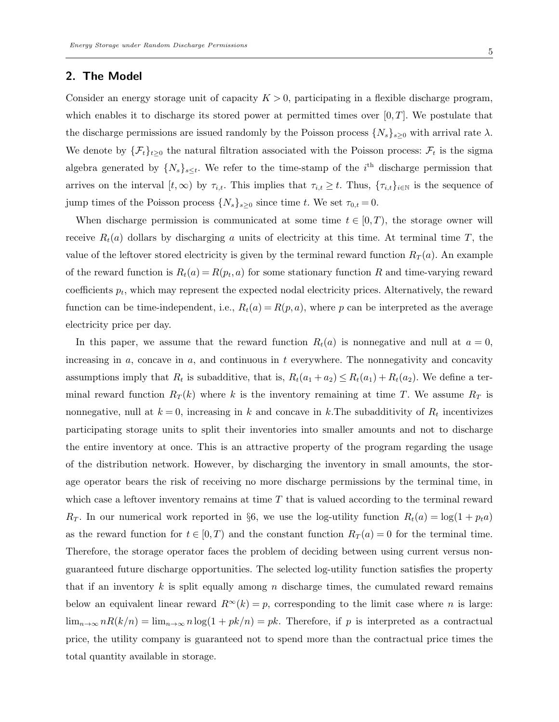## 2. The Model

Consider an energy storage unit of capacity  $K > 0$ , participating in a flexible discharge program, which enables it to discharge its stored power at permitted times over  $[0, T]$ . We postulate that the discharge permissions are issued randomly by the Poisson process  $\{N_s\}_{s\geq 0}$  with arrival rate  $\lambda$ . We denote by  $\{\mathcal{F}_t\}_{t\geq0}$  the natural filtration associated with the Poisson process:  $\mathcal{F}_t$  is the sigma algebra generated by  $\{N_s\}_{s\leq t}$ . We refer to the time-stamp of the  $i^{\text{th}}$  discharge permission that arrives on the interval  $[t,\infty)$  by  $\tau_{i,t}$ . This implies that  $\tau_{i,t} \geq t$ . Thus,  $\{\tau_{i,t}\}_{i\in\mathbb{N}}$  is the sequence of jump times of the Poisson process  $\{N_s\}_{s\geq 0}$  since time t. We set  $\tau_{0,t} = 0$ .

When discharge permission is communicated at some time  $t \in [0, T)$ , the storage owner will receive  $R_t(a)$  dollars by discharging a units of electricity at this time. At terminal time T, the value of the leftover stored electricity is given by the terminal reward function  $R_T(a)$ . An example of the reward function is  $R_t(a) = R(p_t, a)$  for some stationary function R and time-varying reward coefficients  $p_t$ , which may represent the expected nodal electricity prices. Alternatively, the reward function can be time-independent, i.e.,  $R_t(a) = R(p, a)$ , where p can be interpreted as the average electricity price per day.

In this paper, we assume that the reward function  $R_t(a)$  is nonnegative and null at  $a = 0$ , increasing in  $a$ , concave in  $a$ , and continuous in  $t$  everywhere. The nonnegativity and concavity assumptions imply that  $R_t$  is subadditive, that is,  $R_t(a_1 + a_2) \le R_t(a_1) + R_t(a_2)$ . We define a terminal reward function  $R_T(k)$  where k is the inventory remaining at time T. We assume  $R_T$  is nonnegative, null at  $k = 0$ , increasing in k and concave in k. The subadditivity of  $R_t$  incentivizes participating storage units to split their inventories into smaller amounts and not to discharge the entire inventory at once. This is an attractive property of the program regarding the usage of the distribution network. However, by discharging the inventory in small amounts, the storage operator bears the risk of receiving no more discharge permissions by the terminal time, in which case a leftover inventory remains at time  $T$  that is valued according to the terminal reward  $R_T$ . In our numerical work reported in §6, we use the log-utility function  $R_t(a) = \log(1 + p_t a)$ as the reward function for  $t \in [0, T)$  and the constant function  $R_T(a) = 0$  for the terminal time. Therefore, the storage operator faces the problem of deciding between using current versus nonguaranteed future discharge opportunities. The selected log-utility function satisfies the property that if an inventory k is split equally among n discharge times, the cumulated reward remains below an equivalent linear reward  $R^{\infty}(k) = p$ , corresponding to the limit case where n is large:  $\lim_{n\to\infty} nR(k/n) = \lim_{n\to\infty} n\log(1+pk/n) = pk$ . Therefore, if p is interpreted as a contractual price, the utility company is guaranteed not to spend more than the contractual price times the total quantity available in storage.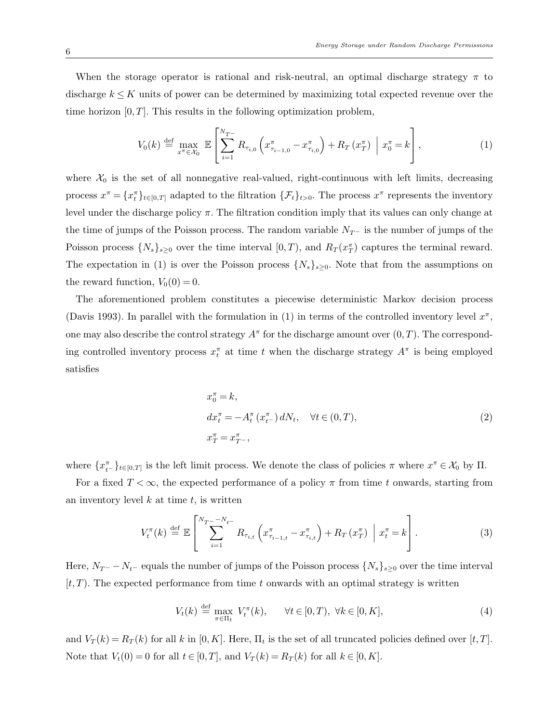When the storage operator is rational and risk-neutral, an optimal discharge strategy  $\pi$  to discharge  $k \leq K$  units of power can be determined by maximizing total expected revenue over the time horizon  $[0, T]$ . This results in the following optimization problem,

$$
V_0(k) \stackrel{\text{def}}{=} \max_{x^\pi \in \mathcal{X}_0} \mathbb{E} \left[ \sum_{i=1}^{N_{T-}} R_{\tau_{i,0}} \left( x_{\tau_{i-1,0}}^\pi - x_{\tau_{i,0}}^\pi \right) + R_T \left( x_T^\pi \right) \middle| x_0^\pi = k \right], \tag{1}
$$

where  $\mathcal{X}_0$  is the set of all nonnegative real-valued, right-continuous with left limits, decreasing process  $x^{\pi} = \{x_i^{\pi}\}_{t \in [0,T]}$  adapted to the filtration  $\{\mathcal{F}_t\}_{t>0}$ . The process  $x^{\pi}$  represents the inventory level under the discharge policy  $\pi$ . The filtration condition imply that its values can only change at the time of jumps of the Poisson process. The random variable  $N_T$ – is the number of jumps of the Poisson process  $\{N_s\}_{s\geq 0}$  over the time interval  $[0, T)$ , and  $R_T(x_T^{\pi})$  captures the terminal reward. The expectation in (1) is over the Poisson process  $\{N_s\}_{s\geq 0}$ . Note that from the assumptions on the reward function,  $V_0(0) = 0$ .

The aforementioned problem constitutes a piecewise deterministic Markov decision process (Davis 1993). In parallel with the formulation in (1) in terms of the controlled inventory level  $x^{\pi}$ , one may also describe the control strategy  $A^{\pi}$  for the discharge amount over  $(0, T)$ . The corresponding controlled inventory process  $x_t^{\pi}$  at time t when the discharge strategy  $A^{\pi}$  is being employed satisfies

$$
x_0^{\pi} = k,
$$
  
\n
$$
dx_t^{\pi} = -A_t^{\pi} (x_{t-}^{\pi}) dN_t, \quad \forall t \in (0, T),
$$
  
\n
$$
x_T^{\pi} = x_{T-}^{\pi},
$$
\n(2)

where  $\{x_{t-}^{\pi}\}_{t\in[0,T]}$  is the left limit process. We denote the class of policies  $\pi$  where  $x^{\pi}\in\mathcal{X}_0$  by  $\Pi$ .

For a fixed  $T < \infty$ , the expected performance of a policy  $\pi$  from time t onwards, starting from an inventory level  $k$  at time  $t$ , is written

$$
V_{t}^{\pi}(k) \stackrel{\text{def}}{=} \mathbb{E}\left[\sum_{i=1}^{N_{T} - N_{t-}} R_{\tau_{i,t}} \left(x_{\tau_{i-1,t}}^{\pi} - x_{\tau_{i,t}}^{\pi}\right) + R_{T}\left(x_{T}^{\pi}\right) \middle| x_{t}^{\pi} = k\right].
$$
 (3)

Here,  $N_{T^-} - N_{t^-}$  equals the number of jumps of the Poisson process  $\{N_s\}_{s\geq 0}$  over the time interval  $[t, T]$ . The expected performance from time t onwards with an optimal strategy is written

$$
V_t(k) \stackrel{\text{def}}{=} \max_{\pi \in \Pi_t} V_t^{\pi}(k), \qquad \forall t \in [0, T), \ \forall k \in [0, K], \tag{4}
$$

and  $V_T(k) = R_T(k)$  for all k in  $[0, K]$ . Here,  $\Pi_t$  is the set of all truncated policies defined over  $[t, T]$ . Note that  $V_t(0) = 0$  for all  $t \in [0, T]$ , and  $V_T(k) = R_T(k)$  for all  $k \in [0, K]$ .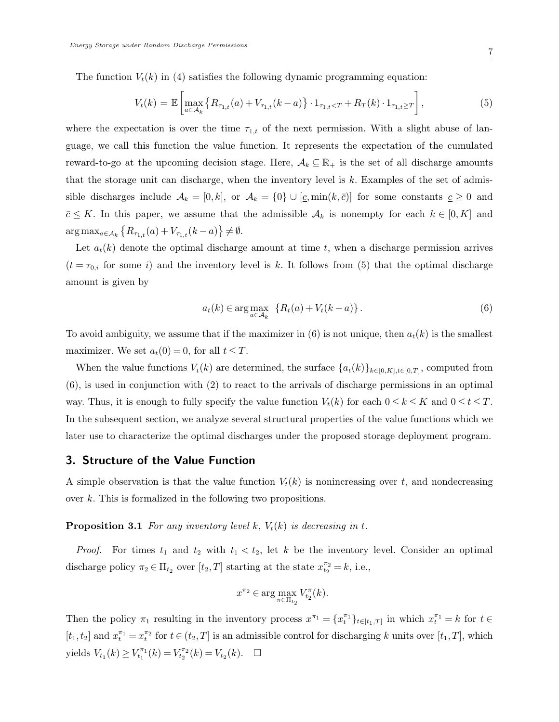The function  $V_t(k)$  in (4) satisfies the following dynamic programming equation:

$$
V_t(k) = \mathbb{E}\left[\max_{a \in \mathcal{A}_k} \left\{ R_{\tau_{1,t}}(a) + V_{\tau_{1,t}}(k-a) \right\} \cdot 1_{\tau_{1,t} < T} + R_T(k) \cdot 1_{\tau_{1,t} \ge T} \right],\tag{5}
$$

where the expectation is over the time  $\tau_{1,t}$  of the next permission. With a slight abuse of language, we call this function the value function. It represents the expectation of the cumulated reward-to-go at the upcoming decision stage. Here,  $A_k \subseteq \mathbb{R}_+$  is the set of all discharge amounts that the storage unit can discharge, when the inventory level is  $k$ . Examples of the set of admissible discharges include  $\mathcal{A}_k = [0, k]$ , or  $\mathcal{A}_k = \{0\} \cup [\underline{c}, \min(k, \overline{c})]$  for some constants  $\underline{c} \geq 0$  and  $\bar{c} \leq K$ . In this paper, we assume that the admissible  $\mathcal{A}_k$  is nonempty for each  $k \in [0, K]$  and  $\arg \max_{a \in \mathcal{A}_k} \left\{ R_{\tau_{1,t}}(a) + V_{\tau_{1,t}}(k-a) \right\} \neq \emptyset.$ 

Let  $a_t(k)$  denote the optimal discharge amount at time t, when a discharge permission arrives  $(t = \tau_{0,i}$  for some i) and the inventory level is k. It follows from (5) that the optimal discharge amount is given by

$$
a_t(k) \in \arg\max_{a \in \mathcal{A}_k} \ \left\{ R_t(a) + V_t(k-a) \right\}.
$$
 (6)

To avoid ambiguity, we assume that if the maximizer in  $(6)$  is not unique, then  $a_t(k)$  is the smallest maximizer. We set  $a_t(0) = 0$ , for all  $t \leq T$ .

When the value functions  $V_t(k)$  are determined, the surface  $\{a_t(k)\}_{k\in[0,K],t\in[0,T]}$ , computed from (6), is used in conjunction with (2) to react to the arrivals of discharge permissions in an optimal way. Thus, it is enough to fully specify the value function  $V_t(k)$  for each  $0 \le k \le K$  and  $0 \le t \le T$ . In the subsequent section, we analyze several structural properties of the value functions which we later use to characterize the optimal discharges under the proposed storage deployment program.

## 3. Structure of the Value Function

A simple observation is that the value function  $V_t(k)$  is nonincreasing over t, and nondecreasing over k. This is formalized in the following two propositions.

**Proposition 3.1** For any inventory level k,  $V_t(k)$  is decreasing in t.

*Proof.* For times  $t_1$  and  $t_2$  with  $t_1 < t_2$ , let k be the inventory level. Consider an optimal discharge policy  $\pi_2 \in \Pi_{t_2}$  over  $[t_2, T]$  starting at the state  $x_{t_2}^{\pi_2} = k$ , i.e.,

$$
x^{\pi_2} \in \arg\max_{\pi \in \Pi_{t_2}} V_{t_2}^{\pi}(k).
$$

Then the policy  $\pi_1$  resulting in the inventory process  $x^{\pi_1} = \{x^{\pi_1}_t\}_{t\in[t_1,T]}$  in which  $x^{\pi_1}_t = k$  for  $t \in$  $[t_1, t_2]$  and  $x_1^{\pi_1} = x_1^{\pi_2}$  for  $t \in (t_2, T]$  is an admissible control for discharging k units over  $[t_1, T]$ , which yields  $V_{t_1}(k) \geq V_{t_1}^{\pi_1}(k) = V_{t_2}^{\pi_2}(k) = V_{t_2}(k)$ .  $\Box$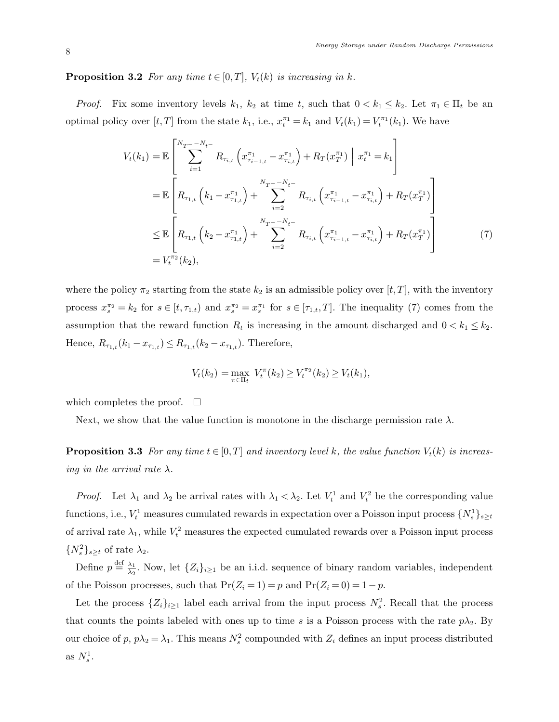**Proposition 3.2** For any time  $t \in [0, T]$ ,  $V_t(k)$  is increasing in k.

*Proof.* Fix some inventory levels  $k_1$ ,  $k_2$  at time t, such that  $0 < k_1 \leq k_2$ . Let  $\pi_1 \in \Pi_t$  be an optimal policy over  $[t, T]$  from the state  $k_1$ , i.e.,  $x_t^{\pi_1} = k_1$  and  $V_t(k_1) = V_t^{\pi_1}(k_1)$ . We have

$$
V_{t}(k_{1}) = \mathbb{E}\left[\sum_{i=1}^{N_{T} - N_{t-}} R_{\tau_{i,t}}\left(x_{\tau_{i-1,t}}^{\pi_{1}} - x_{\tau_{i,t}}^{\pi_{1}}\right) + R_{T}(x_{T}^{\pi_{1}})\middle| x_{t}^{\pi_{1}} = k_{1}\right]
$$
  
\n
$$
= \mathbb{E}\left[R_{\tau_{1,t}}\left(k_{1} - x_{\tau_{1,t}}^{\pi_{1}}\right) + \sum_{i=2}^{N_{T} - N_{t-}} R_{\tau_{i,t}}\left(x_{\tau_{i-1,t}}^{\pi_{1}} - x_{\tau_{i,t}}^{\pi_{1}}\right) + R_{T}(x_{T}^{\pi_{1}})\right]
$$
  
\n
$$
\leq \mathbb{E}\left[R_{\tau_{1,t}}\left(k_{2} - x_{\tau_{1,t}}^{\pi_{1}}\right) + \sum_{i=2}^{N_{T} - N_{t-}} R_{\tau_{i,t}}\left(x_{\tau_{i-1,t}}^{\pi_{1}} - x_{\tau_{i,t}}^{\pi_{1}}\right) + R_{T}(x_{T}^{\pi_{1}})\right]
$$
  
\n
$$
= V_{t}^{\pi_{2}}(k_{2}), \qquad (7)
$$

where the policy  $\pi_2$  starting from the state  $k_2$  is an admissible policy over  $[t, T]$ , with the inventory process  $x_s^{\pi_2} = k_2$  for  $s \in [t, \tau_{1,t})$  and  $x_s^{\pi_2} = x_s^{\pi_1}$  for  $s \in [\tau_{1,t}, T]$ . The inequality (7) comes from the assumption that the reward function  $R_t$  is increasing in the amount discharged and  $0 < k_1 \leq k_2$ . Hence,  $R_{\tau_{1,t}}(k_1 - x_{\tau_{1,t}}) \leq R_{\tau_{1,t}}(k_2 - x_{\tau_{1,t}})$ . Therefore,

$$
V_t(k_2) = \max_{\pi \in \Pi_t} V_t^{\pi}(k_2) \ge V_t^{\pi_2}(k_2) \ge V_t(k_1),
$$

which completes the proof.  $\square$ 

Next, we show that the value function is monotone in the discharge permission rate  $\lambda$ .

**Proposition 3.3** For any time  $t \in [0, T]$  and inventory level k, the value function  $V_t(k)$  is increasing in the arrival rate  $\lambda$ .

*Proof.* Let  $\lambda_1$  and  $\lambda_2$  be arrival rates with  $\lambda_1 < \lambda_2$ . Let  $V_t^1$  and  $V_t^2$  be the corresponding value functions, i.e.,  $V_t^1$  measures cumulated rewards in expectation over a Poisson input process  $\{N_s^1\}_{s\geq t}$ of arrival rate  $\lambda_1$ , while  $V_t^2$  measures the expected cumulated rewards over a Poisson input process  ${N_s^2}_{s \geq t}$  of rate  $\lambda_2$ .

Define  $p \stackrel{\text{def}}{=} \frac{\lambda_1}{\lambda_2}$  $\frac{\lambda_1}{\lambda_2}$ . Now, let  $\{Z_i\}_{i\geq 1}$  be an i.i.d. sequence of binary random variables, independent of the Poisson processes, such that  $Pr(Z_i = 1) = p$  and  $Pr(Z_i = 0) = 1 - p$ .

Let the process  $\{Z_i\}_{i\geq 1}$  label each arrival from the input process  $N_s^2$ . Recall that the process that counts the points labeled with ones up to time s is a Poisson process with the rate  $p\lambda_2$ . By our choice of p,  $p\lambda_2 = \lambda_1$ . This means  $N_s^2$  compounded with  $Z_i$  defines an input process distributed as  $N_s^1$ .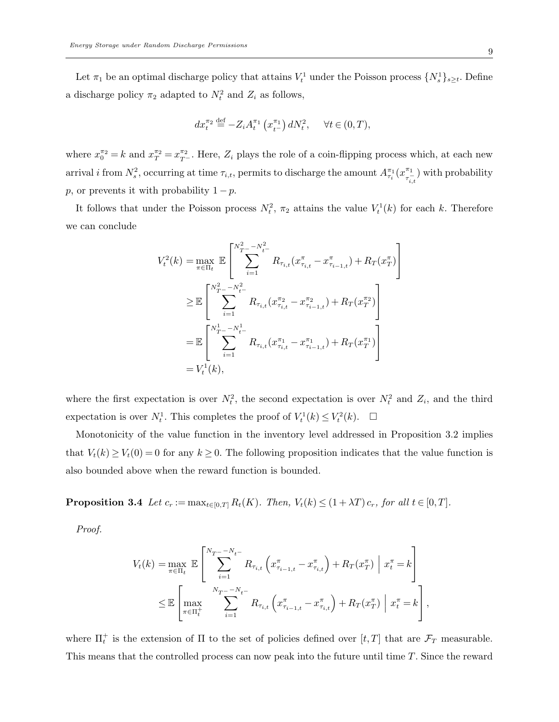Let  $\pi_1$  be an optimal discharge policy that attains  $V_t^1$  under the Poisson process  $\{N_s^1\}_{s\geq t}$ . Define a discharge policy  $\pi_2$  adapted to  $N_t^2$  and  $Z_i$  as follows,

$$
dx_t^{\pi_2} \stackrel{\text{def}}{=} -Z_i A_t^{\pi_1} \left( x_{t^-}^{\pi_1} \right) dN_t^2, \quad \forall t \in (0,T),
$$

where  $x_0^{\pi_2} = k$  and  $x_T^{\pi_2} = x_{T-}^{\pi_2}$ . Here,  $Z_i$  plays the role of a coin-flipping process which, at each new arrival *i* from  $N_s^2$ , occurring at time  $\tau_{i,t}$ , permits to discharge the amount  $A_{\tau_i}^{\pi_1}(x_{\tau_i}^{\pi_1})$  $(\pi^{-1}_{\tau_{i,t}})$  with probability p, or prevents it with probability  $1 - p$ .

It follows that under the Poisson process  $N_t^2$ ,  $\pi_2$  attains the value  $V_t^1(k)$  for each k. Therefore we can conclude

$$
V_t^2(k) = \max_{\pi \in \Pi_t} \mathbb{E} \left[ \sum_{i=1}^{N_{T}^2 - N_{t-}^2} R_{\tau_{i,t}} (x_{\tau_{i,t}}^{\pi} - x_{\tau_{i-1,t}}^{\pi}) + R_T (x_T^{\pi}) \right]
$$
  
\n
$$
\geq \mathbb{E} \left[ \sum_{i=1}^{N_{T}^2 - N_{t-}^2} R_{\tau_{i,t}} (x_{\tau_{i,t}}^{\pi_2} - x_{\tau_{i-1,t}}^{\pi_2}) + R_T (x_T^{\pi_2}) \right]
$$
  
\n
$$
= \mathbb{E} \left[ \sum_{i=1}^{N_{T}^1 - N_{t-}^1} R_{\tau_{i,t}} (x_{\tau_{i,t}}^{\pi_1} - x_{\tau_{i-1,t}}^{\pi_1}) + R_T (x_T^{\pi_1}) \right]
$$
  
\n
$$
= V_t^1(k),
$$

where the first expectation is over  $N_t^2$ , the second expectation is over  $N_t^2$  and  $Z_i$ , and the third expectation is over  $N_t^1$ . This completes the proof of  $V_t^1(k) \leq V_t^2(k)$ .  $\Box$ 

Monotonicity of the value function in the inventory level addressed in Proposition 3.2 implies that  $V_t(k) \geq V_t(0) = 0$  for any  $k \geq 0$ . The following proposition indicates that the value function is also bounded above when the reward function is bounded.

**Proposition 3.4** Let  $c_r := \max_{t \in [0,T]} R_t(K)$ . Then,  $V_t(k) \leq (1 + \lambda T) c_r$ , for all  $t \in [0,T]$ .

Proof.

$$
V_{t}(k) = \max_{\pi \in \Pi_{t}} \mathbb{E} \left[ \sum_{i=1}^{N_{T} - N_{t-}} R_{\tau_{i,t}} \left( x_{\tau_{i-1,t}}^{\pi} - x_{\tau_{i,t}}^{\pi} \right) + R_{T}(x_{T}^{\pi}) \middle| x_{t}^{\pi} = k \right]
$$
  

$$
\leq \mathbb{E} \left[ \max_{\pi \in \Pi_{t}^{+}} \sum_{i=1}^{N_{T} - N_{t-}} R_{\tau_{i,t}} \left( x_{\tau_{i-1,t}}^{\pi} - x_{\tau_{i,t}}^{\pi} \right) + R_{T}(x_{T}^{\pi}) \middle| x_{t}^{\pi} = k \right],
$$

where  $\Pi_t^+$  is the extension of  $\Pi$  to the set of policies defined over  $[t, T]$  that are  $\mathcal{F}_T$  measurable. This means that the controlled process can now peak into the future until time T. Since the reward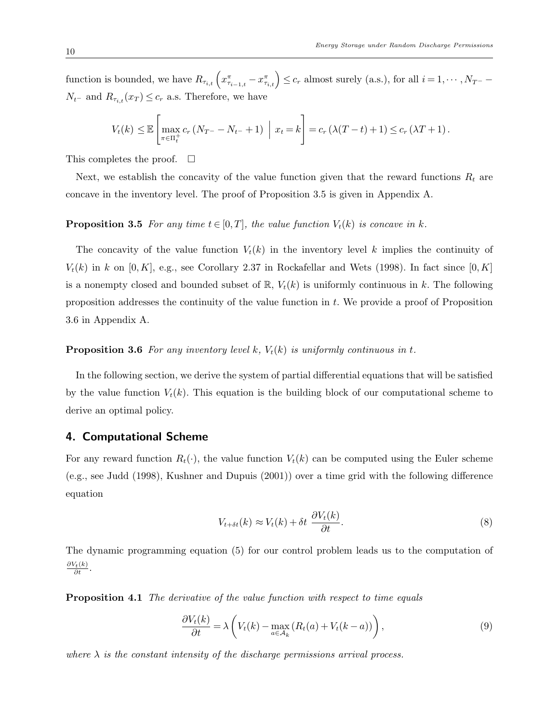function is bounded, we have  $R_{\tau_{i,t}}\left(x_{\tau_{i-1,t}}^{\pi}-x_{\tau_{i,t}}^{\pi}\right) \leq c_r$  almost surely (a.s.), for all  $i=1,\cdots,N_{T^-}-1$  $N_{t-}$  and  $R_{\tau_{i,t}}(x_T) \leq c_r$  a.s. Therefore, we have

$$
V_t(k) \leq \mathbb{E}\left[\max_{\pi \in \Pi_t^+} c_r (N_{T^-} - N_{t^-} + 1) \middle| x_t = k\right] = c_r (\lambda (T - t) + 1) \leq c_r (\lambda T + 1).
$$

This completes the proof.  $\square$ 

Next, we establish the concavity of the value function given that the reward functions  $R_t$  are concave in the inventory level. The proof of Proposition 3.5 is given in Appendix A.

#### **Proposition 3.5** For any time  $t \in [0, T]$ , the value function  $V_t(k)$  is concave in k.

The concavity of the value function  $V_t(k)$  in the inventory level k implies the continuity of  $V_t(k)$  in k on [0,K], e.g., see Corollary 2.37 in Rockafellar and Wets (1998). In fact since [0,K] is a nonempty closed and bounded subset of  $\mathbb{R}$ ,  $V_t(k)$  is uniformly continuous in k. The following proposition addresses the continuity of the value function in t. We provide a proof of Proposition 3.6 in Appendix A.

#### **Proposition 3.6** For any inventory level k,  $V_t(k)$  is uniformly continuous in t.

In the following section, we derive the system of partial differential equations that will be satisfied by the value function  $V_t(k)$ . This equation is the building block of our computational scheme to derive an optimal policy.

#### 4. Computational Scheme

For any reward function  $R_t(\cdot)$ , the value function  $V_t(k)$  can be computed using the Euler scheme (e.g., see Judd (1998), Kushner and Dupuis (2001)) over a time grid with the following difference equation

$$
V_{t+\delta t}(k) \approx V_t(k) + \delta t \frac{\partial V_t(k)}{\partial t}.
$$
\n(8)

The dynamic programming equation (5) for our control problem leads us to the computation of  $\frac{\partial V_t(k)}{\partial t}$ .

Proposition 4.1 The derivative of the value function with respect to time equals

$$
\frac{\partial V_t(k)}{\partial t} = \lambda \left( V_t(k) - \max_{a \in \mathcal{A}_k} (R_t(a) + V_t(k-a)) \right),\tag{9}
$$

where  $\lambda$  is the constant intensity of the discharge permissions arrival process.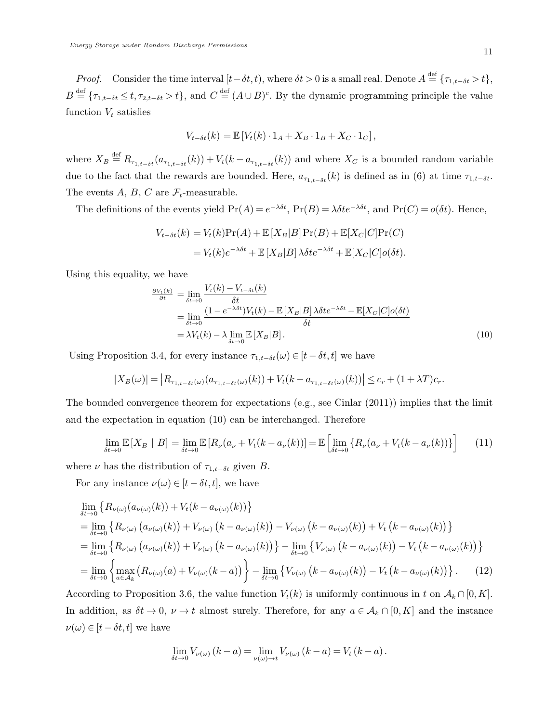*Proof.* Consider the time interval  $[t-\delta t,t)$ , where  $\delta t > 0$  is a small real. Denote  $A \stackrel{\text{def}}{=} {\{\tau_{1,t-\delta t} > t\}}$ ,  $B \stackrel{\text{def}}{=} \{\tau_{1,t-\delta t} \leq t, \tau_{2,t-\delta t} > t\},\$ and  $C \stackrel{\text{def}}{=} (A \cup B)^c$ . By the dynamic programming principle the value function  $V_t$  satisfies

$$
V_{t-\delta t}(k) = \mathbb{E}\left[V_t(k) \cdot 1_A + X_B \cdot 1_B + X_C \cdot 1_C\right],
$$

where  $X_B \stackrel{\text{def}}{=} R_{\tau_{1,t-\delta t}}(a_{\tau_{1,t-\delta t}}(k)) + V_t(k-a_{\tau_{1,t-\delta t}}(k))$  and where  $X_C$  is a bounded random variable due to the fact that the rewards are bounded. Here,  $a_{\tau_{1,t-\delta t}}(k)$  is defined as in (6) at time  $\tau_{1,t-\delta t}$ . The events A, B, C are  $\mathcal{F}_t$ -measurable.

The definitions of the events yield  $Pr(A) = e^{-\lambda \delta t}$ ,  $Pr(B) = \lambda \delta t e^{-\lambda \delta t}$ , and  $Pr(C) = o(\delta t)$ . Hence,

$$
V_{t-\delta t}(k) = V_t(k)Pr(A) + \mathbb{E}[X_B|B]Pr(B) + \mathbb{E}[X_C|C]Pr(C)
$$
  
= 
$$
V_t(k)e^{-\lambda\delta t} + \mathbb{E}[X_B|B]\lambda\delta te^{-\lambda\delta t} + \mathbb{E}[X_C|C]o(\delta t).
$$

Using this equality, we have

$$
\frac{\partial V_t(k)}{\partial t} = \lim_{\delta t \to 0} \frac{V_t(k) - V_{t-\delta t}(k)}{\delta t}
$$
\n
$$
= \lim_{\delta t \to 0} \frac{(1 - e^{-\lambda \delta t})V_t(k) - \mathbb{E}[X_B|B] \lambda \delta t e^{-\lambda \delta t} - \mathbb{E}[X_C|C]o(\delta t)}{\delta t}
$$
\n
$$
= \lambda V_t(k) - \lambda \lim_{\delta t \to 0} \mathbb{E}[X_B|B].
$$
\n(10)

Using Proposition 3.4, for every instance  $\tau_{1,t-\delta t}(\omega) \in [t-\delta t,t]$  we have

$$
|X_B(\omega)| = |R_{\tau_{1,t-\delta t}(\omega)}(a_{\tau_{1,t-\delta t}(\omega)}(k)) + V_t(k - a_{\tau_{1,t-\delta t}(\omega)}(k))| \leq c_r + (1 + \lambda T)c_r.
$$

The bounded convergence theorem for expectations (e.g., see Cinlar (2011)) implies that the limit and the expectation in equation (10) can be interchanged. Therefore

$$
\lim_{\delta t \to 0} \mathbb{E}\left[X_B \mid B\right] = \lim_{\delta t \to 0} \mathbb{E}\left[R_\nu(a_\nu + V_t(k - a_\nu(k))\right] = \mathbb{E}\left[\lim_{\delta t \to 0} \left\{R_\nu(a_\nu + V_t(k - a_\nu(k))\right\}\right] \tag{11}
$$

where  $\nu$  has the distribution of  $\tau_{1,t-\delta t}$  given B.

For any instance  $\nu(\omega) \in [t - \delta t, t]$ , we have

$$
\lim_{\delta t \to 0} \left\{ R_{\nu(\omega)}(a_{\nu(\omega)}(k)) + V_t(k - a_{\nu(\omega)}(k)) \right\}
$$
\n
$$
= \lim_{\delta t \to 0} \left\{ R_{\nu(\omega)}(a_{\nu(\omega)}(k)) + V_{\nu(\omega)}(k - a_{\nu(\omega)}(k)) - V_{\nu(\omega)}(k - a_{\nu(\omega)}(k)) \right\} + V_t(k - a_{\nu(\omega)}(k)) \right\}
$$
\n
$$
= \lim_{\delta t \to 0} \left\{ R_{\nu(\omega)}(a_{\nu(\omega)}(k)) + V_{\nu(\omega)}(k - a_{\nu(\omega)}(k)) \right\} - \lim_{\delta t \to 0} \left\{ V_{\nu(\omega)}(k - a_{\nu(\omega)}(k)) - V_t(k - a_{\nu(\omega)}(k)) \right\}
$$
\n
$$
= \lim_{\delta t \to 0} \left\{ \max_{a \in A_k} \left( R_{\nu(\omega)}(a) + V_{\nu(\omega)}(k - a) \right) \right\} - \lim_{\delta t \to 0} \left\{ V_{\nu(\omega)}(k - a_{\nu(\omega)}(k)) - V_t(k - a_{\nu(\omega)}(k)) \right\}.
$$
\n(12)

According to Proposition 3.6, the value function  $V_t(k)$  is uniformly continuous in t on  $\mathcal{A}_k \cap [0, K]$ . In addition, as  $\delta t \to 0$ ,  $\nu \to t$  almost surely. Therefore, for any  $a \in \mathcal{A}_k \cap [0, K]$  and the instance  $\nu(\omega) \in [t - \delta t, t]$  we have

$$
\lim_{\delta t \to 0} V_{\nu(\omega)}(k-a) = \lim_{\nu(\omega) \to t} V_{\nu(\omega)}(k-a) = V_t(k-a).
$$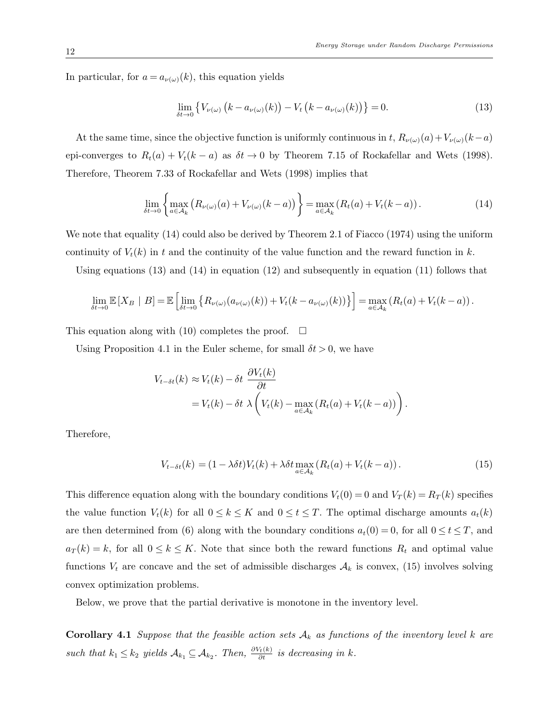In particular, for  $a = a_{\nu(\omega)}(k)$ , this equation yields

$$
\lim_{\delta t \to 0} \left\{ V_{\nu(\omega)} \left( k - a_{\nu(\omega)}(k) \right) - V_t \left( k - a_{\nu(\omega)}(k) \right) \right\} = 0. \tag{13}
$$

At the same time, since the objective function is uniformly continuous in t,  $R_{\nu(\omega)}(a)+V_{\nu(\omega)}(k-a)$ epi-converges to  $R_t(a) + V_t(k-a)$  as  $\delta t \to 0$  by Theorem 7.15 of Rockafellar and Wets (1998). Therefore, Theorem 7.33 of Rockafellar and Wets (1998) implies that

$$
\lim_{\delta t \to 0} \left\{ \max_{a \in \mathcal{A}_k} \left( R_{\nu(\omega)}(a) + V_{\nu(\omega)}(k-a) \right) \right\} = \max_{a \in \mathcal{A}_k} \left( R_t(a) + V_t(k-a) \right). \tag{14}
$$

We note that equality  $(14)$  could also be derived by Theorem 2.1 of Fiacco (1974) using the uniform continuity of  $V_t(k)$  in t and the continuity of the value function and the reward function in k.

Using equations (13) and (14) in equation (12) and subsequently in equation (11) follows that

$$
\lim_{\delta t \to 0} \mathbb{E}\left[X_B \mid B\right] = \mathbb{E}\left[\lim_{\delta t \to 0} \left\{ R_{\nu(\omega)}(a_{\nu(\omega)}(k)) + V_t(k - a_{\nu(\omega)}(k)) \right\} \right] = \max_{a \in \mathcal{A}_k} \left( R_t(a) + V_t(k - a) \right).
$$

This equation along with (10) completes the proof.  $\Box$ 

Using Proposition 4.1 in the Euler scheme, for small  $\delta t > 0$ , we have

$$
V_{t-\delta t}(k) \approx V_t(k) - \delta t \frac{\partial V_t(k)}{\partial t}
$$
  
=  $V_t(k) - \delta t \lambda \left( V_t(k) - \max_{a \in \mathcal{A}_k} (R_t(a) + V_t(k-a)) \right).$ 

Therefore,

$$
V_{t-\delta t}(k) = (1 - \lambda \delta t) V_t(k) + \lambda \delta t \max_{a \in \mathcal{A}_k} (R_t(a) + V_t(k-a)). \tag{15}
$$

This difference equation along with the boundary conditions  $V_t(0) = 0$  and  $V_T(k) = R_T(k)$  specifies the value function  $V_t(k)$  for all  $0 \le k \le K$  and  $0 \le t \le T$ . The optimal discharge amounts  $a_t(k)$ are then determined from (6) along with the boundary conditions  $a_t(0) = 0$ , for all  $0 \le t \le T$ , and  $a_T(k) = k$ , for all  $0 \le k \le K$ . Note that since both the reward functions  $R_t$  and optimal value functions  $V_t$  are concave and the set of admissible discharges  $A_k$  is convex, (15) involves solving convex optimization problems.

Below, we prove that the partial derivative is monotone in the inventory level.

**Corollary 4.1** Suppose that the feasible action sets  $A_k$  as functions of the inventory level k are such that  $k_1 \leq k_2$  yields  $\mathcal{A}_{k_1} \subseteq \mathcal{A}_{k_2}$ . Then,  $\frac{\partial V_t(k)}{\partial t}$  is decreasing in k.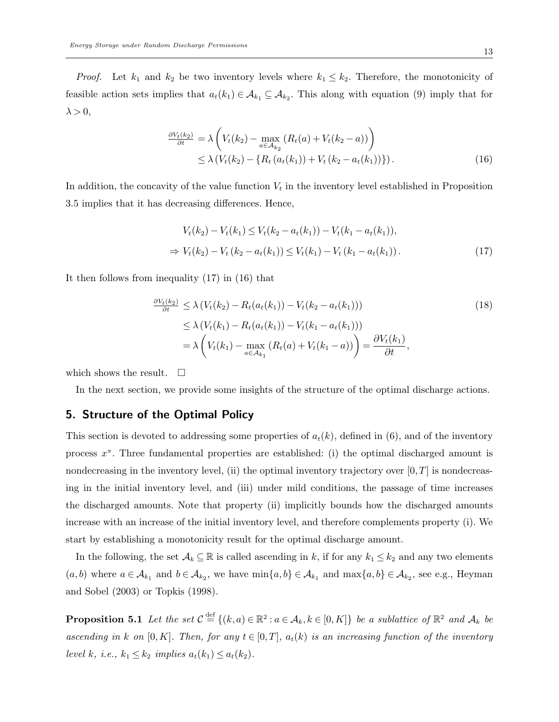*Proof.* Let  $k_1$  and  $k_2$  be two inventory levels where  $k_1 \leq k_2$ . Therefore, the monotonicity of feasible action sets implies that  $a_t(k_1) \in \mathcal{A}_{k_1} \subseteq \mathcal{A}_{k_2}$ . This along with equation (9) imply that for  $\lambda > 0$ ,

$$
\frac{\partial V_t(k_2)}{\partial t} = \lambda \left( V_t(k_2) - \max_{a \in A_{k_2}} (R_t(a) + V_t(k_2 - a)) \right) \n\leq \lambda \left( V_t(k_2) - \{ R_t (a_t(k_1)) + V_t (k_2 - a_t(k_1)) \} \right).
$$
\n(16)

In addition, the concavity of the value function  $V_t$  in the inventory level established in Proposition 3.5 implies that it has decreasing differences. Hence,

$$
V_t(k_2) - V_t(k_1) \le V_t(k_2 - a_t(k_1)) - V_t(k_1 - a_t(k_1)),
$$
  
\n
$$
\Rightarrow V_t(k_2) - V_t(k_2 - a_t(k_1)) \le V_t(k_1) - V_t(k_1 - a_t(k_1)).
$$
\n(17)

It then follows from inequality (17) in (16) that

$$
\frac{\partial V_t(k_2)}{\partial t} \leq \lambda \left( V_t(k_2) - R_t(a_t(k_1)) - V_t(k_2 - a_t(k_1)) \right) \tag{18}
$$
\n
$$
\leq \lambda \left( V_t(k_1) - R_t(a_t(k_1)) - V_t(k_1 - a_t(k_1)) \right) \tag{18}
$$
\n
$$
= \lambda \left( V_t(k_1) - \max_{a \in \mathcal{A}_{k_1}} \left( R_t(a) + V_t(k_1 - a) \right) \right) = \frac{\partial V_t(k_1)}{\partial t},
$$

which shows the result.  $\square$ 

In the next section, we provide some insights of the structure of the optimal discharge actions.

## 5. Structure of the Optimal Policy

This section is devoted to addressing some properties of  $a_t(k)$ , defined in (6), and of the inventory process  $x^{\pi}$ . Three fundamental properties are established: (i) the optimal discharged amount is nondecreasing in the inventory level, (ii) the optimal inventory trajectory over  $[0, T]$  is nondecreasing in the initial inventory level, and (iii) under mild conditions, the passage of time increases the discharged amounts. Note that property (ii) implicitly bounds how the discharged amounts increase with an increase of the initial inventory level, and therefore complements property (i). We start by establishing a monotonicity result for the optimal discharge amount.

In the following, the set  $\mathcal{A}_k \subseteq \mathbb{R}$  is called ascending in k, if for any  $k_1 \leq k_2$  and any two elements  $(a, b)$  where  $a \in \mathcal{A}_{k_1}$  and  $b \in \mathcal{A}_{k_2}$ , we have  $\min\{a, b\} \in \mathcal{A}_{k_1}$  and  $\max\{a, b\} \in \mathcal{A}_{k_2}$ , see e.g., Heyman and Sobel (2003) or Topkis (1998).

**Proposition 5.1** Let the set  $\mathcal{C} \stackrel{\text{def}}{=} \{(k, a) \in \mathbb{R}^2 : a \in \mathcal{A}_k, k \in [0, K]\}$  be a sublattice of  $\mathbb{R}^2$  and  $\mathcal{A}_k$  be ascending in k on [0, K]. Then, for any  $t \in [0,T]$ ,  $a_t(k)$  is an increasing function of the inventory level k, i.e.,  $k_1 \leq k_2$  implies  $a_t(k_1) \leq a_t(k_2)$ .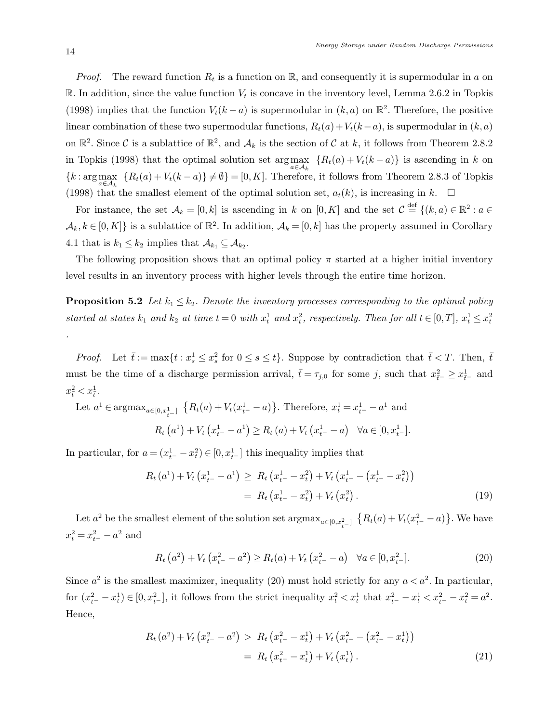*Proof.* The reward function  $R_t$  is a function on  $\mathbb{R}$ , and consequently it is supermodular in a on R. In addition, since the value function  $V_t$  is concave in the inventory level, Lemma 2.6.2 in Topkis (1998) implies that the function  $V_t(k-a)$  is supermodular in  $(k, a)$  on  $\mathbb{R}^2$ . Therefore, the positive linear combination of these two supermodular functions,  $R_t(a) + V_t(k-a)$ , is supermodular in  $(k, a)$ on  $\mathbb{R}^2$ . Since C is a sublattice of  $\mathbb{R}^2$ , and  $\mathcal{A}_k$  is the section of C at k, it follows from Theorem 2.8.2 in Topkis (1998) that the optimal solution set  $\arg\max_{a \in A_k} \{R_t(a) + V_t(k-a)\}\$ is ascending in k on  ${k: \arg \max_{a \in A_k} \{R_t(a) + V_t(k-a)\} \neq \emptyset} = [0, K].$  Therefore, it follows from Theorem 2.8.3 of Topkis (1998) that the smallest element of the optimal solution set,  $a_t(k)$ , is increasing in k.  $\Box$ 

For instance, the set  $\mathcal{A}_k = [0, k]$  is ascending in k on  $[0, K]$  and the set  $\mathcal{C} \stackrel{\text{def}}{=} \{(k, a) \in \mathbb{R}^2 : a \in$  $\mathcal{A}_k, k \in [0, K]$  is a sublattice of  $\mathbb{R}^2$ . In addition,  $\mathcal{A}_k = [0, k]$  has the property assumed in Corollary 4.1 that is  $k_1 \leq k_2$  implies that  $\mathcal{A}_{k_1} \subseteq \mathcal{A}_{k_2}$ .

The following proposition shows that an optimal policy  $\pi$  started at a higher initial inventory level results in an inventory process with higher levels through the entire time horizon.

**Proposition 5.2** Let  $k_1 \leq k_2$ . Denote the inventory processes corresponding to the optimal policy started at states  $k_1$  and  $k_2$  at time  $t = 0$  with  $x_t^1$  and  $x_t^2$ , respectively. Then for all  $t \in [0, T]$ ,  $x_t^1 \leq x_t^2$ .

*Proof.* Let  $\bar{t} := \max\{t : x_s^1 \le x_s^2 \text{ for } 0 \le s \le t\}.$  Suppose by contradiction that  $\bar{t} < T$ . Then,  $\bar{t}$ must be the time of a discharge permission arrival,  $\bar{t} = \tau_{j,0}$  for some j, such that  $x_{\bar{t}}^2 \geq x_{\bar{t}}^1$  and  $x_{\bar{t}}^2 < x_{\bar{t}}^1$ .

Let 
$$
a^1 \in \operatorname{argmax}_{a \in [0, x_{t-1}^1]} \{R_t(a) + V_t(x_{t-}^1 - a)\}
$$
. Therefore,  $x_t^1 = x_{t-}^1 - a^1$  and  

$$
R_t(a^1) + V_t(x_{t-}^1 - a^1) \ge R_t(a) + V_t(x_{t-}^1 - a) \quad \forall a \in [0, x_{t-}^1].
$$

In particular, for  $a = (x_{t-}^1 - x_t^2) \in [0, x_{t-}^1]$  this inequality implies that

$$
R_{t}(a^{1}) + V_{t}\left(x_{t-}^{1} - a^{1}\right) \geq R_{t}\left(x_{t-}^{1} - x_{t}^{2}\right) + V_{t}\left(x_{t-}^{1} - \left(x_{t-}^{1} - x_{t}^{2}\right)\right)
$$

$$
= R_{t}\left(x_{t-}^{1} - x_{t}^{2}\right) + V_{t}\left(x_{t}^{2}\right).
$$
(19)

Let  $a^2$  be the smallest element of the solution set  $\argmax_{a\in[0,x_{t-}^2]} \{R_t(a) + V_t(x_{t-}^2 - a)\}\.$  We have  $x_t^2 = x_{t-}^2 - a^2$  and

$$
R_t\left(a^2\right) + V_t\left(x_{t-}^2 - a^2\right) \ge R_t(a) + V_t\left(x_{t-}^2 - a\right) \quad \forall a \in [0, x_{t-}^2].\tag{20}
$$

Since  $a^2$  is the smallest maximizer, inequality (20) must hold strictly for any  $a < a^2$ . In particular, for  $(x_{t-}^2 - x_t^1) \in [0, x_{t-}^2]$ , it follows from the strict inequality  $x_t^2 < x_t^1$  that  $x_{t-}^2 - x_t^1 < x_{t-}^2 - x_t^2 = a^2$ . Hence,

$$
R_t(a^2) + V_t(x_{t-}^2 - a^2) > R_t(x_{t-}^2 - x_t^1) + V_t(x_{t-}^2 - (x_{t-}^2 - x_t^1))
$$
  
= 
$$
R_t(x_{t-}^2 - x_t^1) + V_t(x_t^1).
$$
 (21)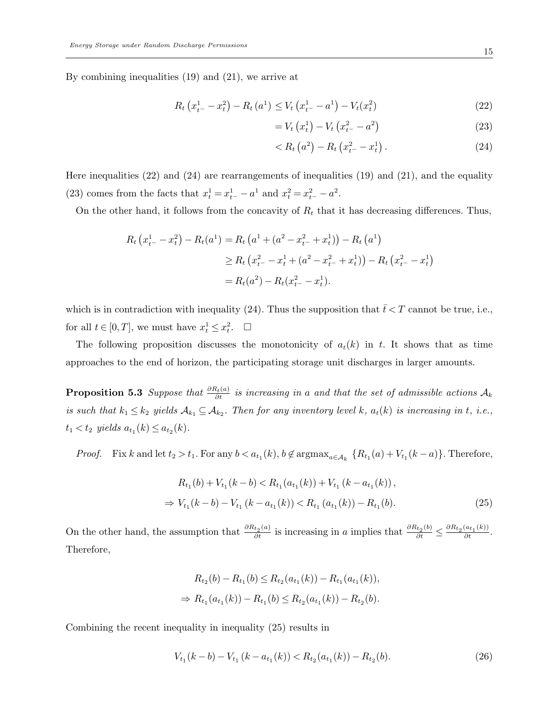By combining inequalities (19) and (21), we arrive at

$$
R_t\left(x_{t-}^1 - x_t^2\right) - R_t\left(a^1\right) \le V_t\left(x_{t-}^1 - a^1\right) - V_t(x_t^2) \tag{22}
$$

$$
= V_t \left( x_t^1 \right) - V_t \left( x_{t^-}^2 - a^2 \right) \tag{23}
$$

$$
\langle R_t (a^2) - R_t (x_{t^-}^2 - x_t^1). \tag{24}
$$

Here inequalities (22) and (24) are rearrangements of inequalities (19) and (21), and the equality (23) comes from the facts that  $x_t^1 = x_{t-}^1 - a^1$  and  $x_t^2 = x_{t-}^2 - a^2$ .

On the other hand, it follows from the concavity of  $R_t$  that it has decreasing differences. Thus,

$$
R_t (x_{t-}^1 - x_t^2) - R_t (a^1) = R_t (a^1 + (a^2 - x_{t-}^2 + x_t^1)) - R_t (a^1)
$$
  
\n
$$
\ge R_t (x_{t-}^2 - x_t^1 + (a^2 - x_{t-}^2 + x_t^1)) - R_t (x_{t-}^2 - x_t^1)
$$
  
\n
$$
= R_t (a^2) - R_t (x_{t-}^2 - x_t^1).
$$

which is in contradiction with inequality (24). Thus the supposition that  $\bar{t} < T$  cannot be true, i.e., for all  $t \in [0, T]$ , we must have  $x_t^1 \leq x_t^2$ .  $\Box$ 

The following proposition discusses the monotonicity of  $a_t(k)$  in t. It shows that as time approaches to the end of horizon, the participating storage unit discharges in larger amounts.

**Proposition 5.3** Suppose that  $\frac{\partial R_t(a)}{\partial t}$  is increasing in a and that the set of admissible actions  $\mathcal{A}_k$ is such that  $k_1 \leq k_2$  yields  $\mathcal{A}_{k_1} \subseteq \mathcal{A}_{k_2}$ . Then for any inventory level k,  $a_t(k)$  is increasing in t, i.e.,  $t_1 < t_2$  yields  $a_{t_1}(k) \le a_{t_2}(k)$ .

*Proof.* Fix k and let  $t_2 > t_1$ . For any  $b < a_{t_1}(k)$ ,  $b \notin \text{argmax}_{a \in A_k} \{R_{t_1}(a) + V_{t_1}(k-a)\}$ . Therefore,

$$
R_{t_1}(b) + V_{t_1}(k - b) < R_{t_1}(a_{t_1}(k)) + V_{t_1}(k - a_{t_1}(k)),
$$
\n
$$
\Rightarrow V_{t_1}(k - b) - V_{t_1}(k - a_{t_1}(k)) < R_{t_1}(a_{t_1}(k)) - R_{t_1}(b). \tag{25}
$$

On the other hand, the assumption that  $\frac{\partial R_{t_2}(a)}{\partial t}$  is increasing in a implies that  $\frac{\partial R_{t_2}(b)}{\partial t} \leq \frac{\partial R_{t_2}(a_{t_1}(k))}{\partial t}$ . Therefore,

$$
R_{t_2}(b) - R_{t_1}(b) \le R_{t_2}(a_{t_1}(k)) - R_{t_1}(a_{t_1}(k)),
$$
  
\n
$$
\Rightarrow R_{t_1}(a_{t_1}(k)) - R_{t_1}(b) \le R_{t_2}(a_{t_1}(k)) - R_{t_2}(b).
$$

Combining the recent inequality in inequality (25) results in

$$
V_{t_1}(k-b) - V_{t_1}(k - a_{t_1}(k)) < R_{t_2}(a_{t_1}(k)) - R_{t_2}(b). \tag{26}
$$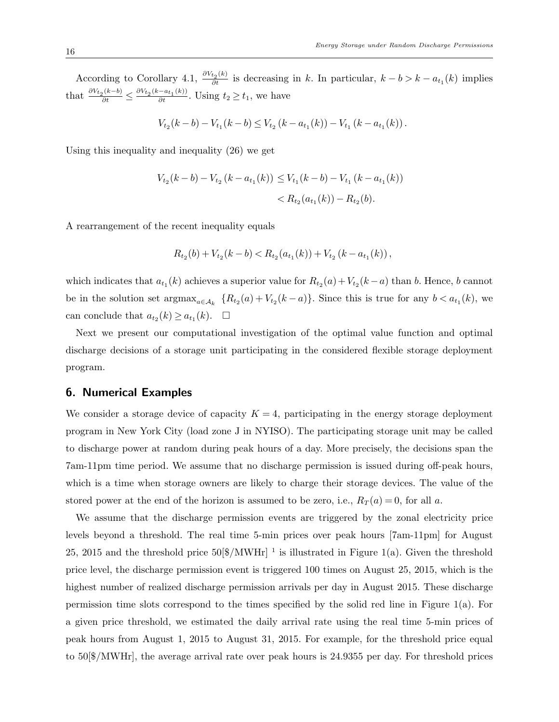According to Corollary 4.1,  $\frac{\partial V_{t_2}(k)}{\partial t}$  is decreasing in k. In particular,  $k - b > k - a_{t_1}(k)$  implies that  $\frac{\partial V_{t_2}(k-b)}{\partial t} \le \frac{\partial V_{t_2}(k-a_{t_1}(k))}{\partial t}$ . Using  $t_2 \ge t_1$ , we have

$$
V_{t_2}(k-b) - V_{t_1}(k-b) \leq V_{t_2}(k-a_{t_1}(k)) - V_{t_1}(k-a_{t_1}(k)).
$$

Using this inequality and inequality (26) we get

$$
V_{t_2}(k - b) - V_{t_2}(k - a_{t_1}(k)) \leq V_{t_1}(k - b) - V_{t_1}(k - a_{t_1}(k))
$$
  
< 
$$
< R_{t_2}(a_{t_1}(k)) - R_{t_2}(b).
$$

A rearrangement of the recent inequality equals

$$
R_{t_2}(b) + V_{t_2}(k - b) < R_{t_2}(a_{t_1}(k)) + V_{t_2}(k - a_{t_1}(k)),
$$

which indicates that  $a_{t_1}(k)$  achieves a superior value for  $R_{t_2}(a) + V_{t_2}(k-a)$  than b. Hence, b cannot be in the solution set  $\arg\max_{a \in A_k} \{R_{t_2}(a) + V_{t_2}(k-a)\}\)$ . Since this is true for any  $b < a_{t_1}(k)$ , we can conclude that  $a_{t_2}(k) \ge a_{t_1}(k)$ .  $\Box$ 

Next we present our computational investigation of the optimal value function and optimal discharge decisions of a storage unit participating in the considered flexible storage deployment program.

#### 6. Numerical Examples

We consider a storage device of capacity  $K = 4$ , participating in the energy storage deployment program in New York City (load zone J in NYISO). The participating storage unit may be called to discharge power at random during peak hours of a day. More precisely, the decisions span the 7am-11pm time period. We assume that no discharge permission is issued during off-peak hours, which is a time when storage owners are likely to charge their storage devices. The value of the stored power at the end of the horizon is assumed to be zero, i.e.,  $R_T(a) = 0$ , for all a.

We assume that the discharge permission events are triggered by the zonal electricity price levels beyond a threshold. The real time 5-min prices over peak hours [7am-11pm] for August 25, 2015 and the threshold price  $50\frac{N}{W}$ Hr <sup>1</sup> is illustrated in Figure 1(a). Given the threshold price level, the discharge permission event is triggered 100 times on August 25, 2015, which is the highest number of realized discharge permission arrivals per day in August 2015. These discharge permission time slots correspond to the times specified by the solid red line in Figure  $1(a)$ . For a given price threshold, we estimated the daily arrival rate using the real time 5-min prices of peak hours from August 1, 2015 to August 31, 2015. For example, for the threshold price equal to 50[\$/MWHr], the average arrival rate over peak hours is 24.9355 per day. For threshold prices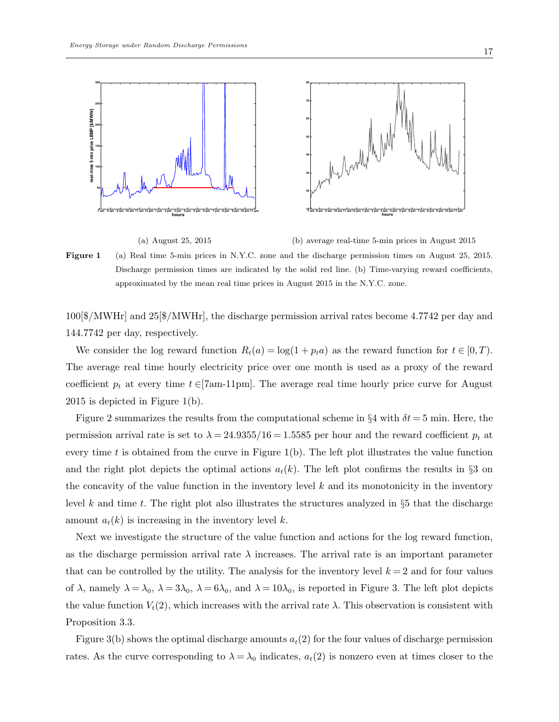

(a) August 25, 2015

(b) average real-time 5-min prices in August 2015

Figure 1 (a) Real time 5-min prices in N.Y.C. zone and the discharge permission times on August 25, 2015. Discharge permission times are indicated by the solid red line. (b) Time-varying reward coefficients, approximated by the mean real time prices in August 2015 in the N.Y.C. zone.

100[\$/MWHr] and 25[\$/MWHr], the discharge permission arrival rates become 4.7742 per day and 144.7742 per day, respectively.

We consider the log reward function  $R_t(a) = \log(1 + p_t a)$  as the reward function for  $t \in [0, T)$ . The average real time hourly electricity price over one month is used as a proxy of the reward coefficient  $p_t$  at every time  $t \in [7 \text{am-11pm}]$ . The average real time hourly price curve for August 2015 is depicted in Figure 1(b).

Figure 2 summarizes the results from the computational scheme in  $\S 4$  with  $\delta t = 5$  min. Here, the permission arrival rate is set to  $\lambda = 24.9355/16 = 1.5585$  per hour and the reward coefficient  $p_t$  at every time t is obtained from the curve in Figure 1(b). The left plot illustrates the value function and the right plot depicts the optimal actions  $a_t(k)$ . The left plot confirms the results in §3 on the concavity of the value function in the inventory level  $k$  and its monotonicity in the inventory level k and time t. The right plot also illustrates the structures analyzed in §5 that the discharge amount  $a_t(k)$  is increasing in the inventory level k.

Next we investigate the structure of the value function and actions for the log reward function, as the discharge permission arrival rate  $\lambda$  increases. The arrival rate is an important parameter that can be controlled by the utility. The analysis for the inventory level  $k = 2$  and for four values of  $\lambda$ , namely  $\lambda = \lambda_0$ ,  $\lambda = 3\lambda_0$ ,  $\lambda = 6\lambda_0$ , and  $\lambda = 10\lambda_0$ , is reported in Figure 3. The left plot depicts the value function  $V_t(2)$ , which increases with the arrival rate  $\lambda$ . This observation is consistent with Proposition 3.3.

Figure 3(b) shows the optimal discharge amounts  $a_t(2)$  for the four values of discharge permission rates. As the curve corresponding to  $\lambda = \lambda_0$  indicates,  $a_t(2)$  is nonzero even at times closer to the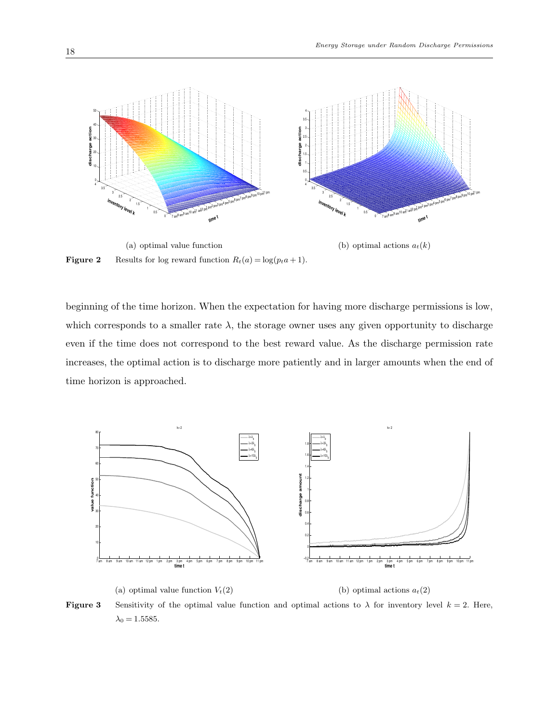

beginning of the time horizon. When the expectation for having more discharge permissions is low, which corresponds to a smaller rate  $\lambda$ , the storage owner uses any given opportunity to discharge even if the time does not correspond to the best reward value. As the discharge permission rate increases, the optimal action is to discharge more patiently and in larger amounts when the end of time horizon is approached.



**Figure 3** Sensitivity of the optimal value function and optimal actions to  $\lambda$  for inventory level  $k = 2$ . Here,  $\lambda_0 = 1.5585.$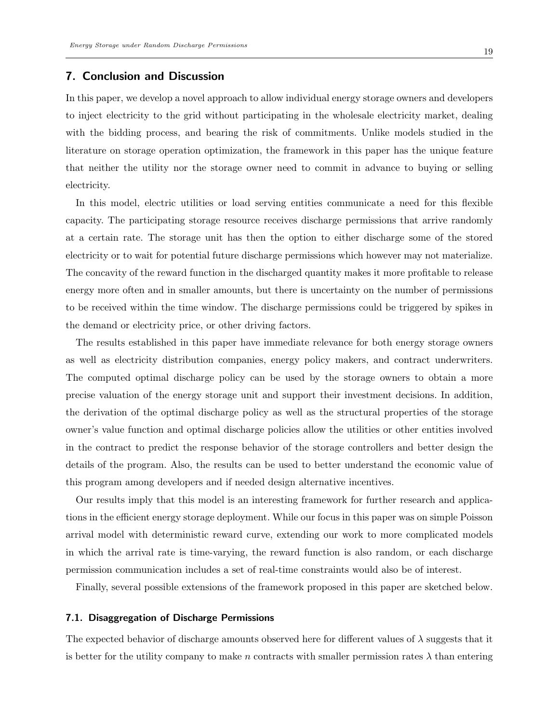## 7. Conclusion and Discussion

In this paper, we develop a novel approach to allow individual energy storage owners and developers to inject electricity to the grid without participating in the wholesale electricity market, dealing with the bidding process, and bearing the risk of commitments. Unlike models studied in the literature on storage operation optimization, the framework in this paper has the unique feature that neither the utility nor the storage owner need to commit in advance to buying or selling electricity.

In this model, electric utilities or load serving entities communicate a need for this flexible capacity. The participating storage resource receives discharge permissions that arrive randomly at a certain rate. The storage unit has then the option to either discharge some of the stored electricity or to wait for potential future discharge permissions which however may not materialize. The concavity of the reward function in the discharged quantity makes it more profitable to release energy more often and in smaller amounts, but there is uncertainty on the number of permissions to be received within the time window. The discharge permissions could be triggered by spikes in the demand or electricity price, or other driving factors.

The results established in this paper have immediate relevance for both energy storage owners as well as electricity distribution companies, energy policy makers, and contract underwriters. The computed optimal discharge policy can be used by the storage owners to obtain a more precise valuation of the energy storage unit and support their investment decisions. In addition, the derivation of the optimal discharge policy as well as the structural properties of the storage owner's value function and optimal discharge policies allow the utilities or other entities involved in the contract to predict the response behavior of the storage controllers and better design the details of the program. Also, the results can be used to better understand the economic value of this program among developers and if needed design alternative incentives.

Our results imply that this model is an interesting framework for further research and applications in the efficient energy storage deployment. While our focus in this paper was on simple Poisson arrival model with deterministic reward curve, extending our work to more complicated models in which the arrival rate is time-varying, the reward function is also random, or each discharge permission communication includes a set of real-time constraints would also be of interest.

Finally, several possible extensions of the framework proposed in this paper are sketched below.

#### 7.1. Disaggregation of Discharge Permissions

The expected behavior of discharge amounts observed here for different values of  $\lambda$  suggests that it is better for the utility company to make n contracts with smaller permission rates  $\lambda$  than entering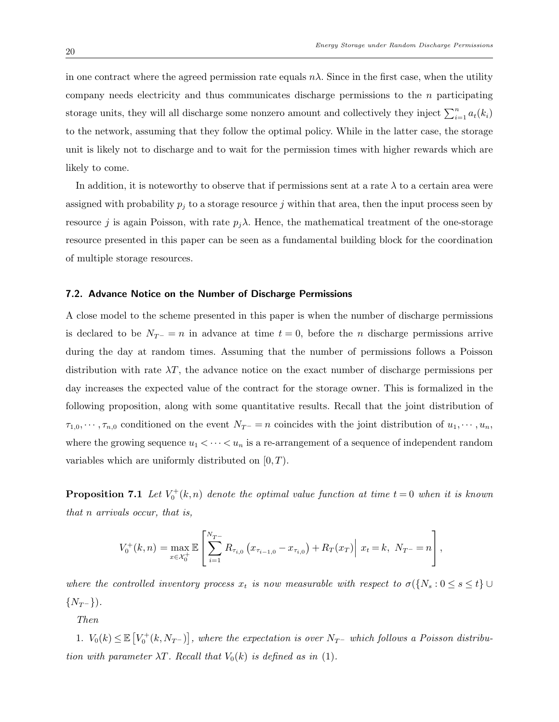in one contract where the agreed permission rate equals  $n\lambda$ . Since in the first case, when the utility company needs electricity and thus communicates discharge permissions to the  $n$  participating storage units, they will all discharge some nonzero amount and collectively they inject  $\sum_{i=1}^{n} a_t(k_i)$ to the network, assuming that they follow the optimal policy. While in the latter case, the storage unit is likely not to discharge and to wait for the permission times with higher rewards which are likely to come.

In addition, it is noteworthy to observe that if permissions sent at a rate  $\lambda$  to a certain area were assigned with probability  $p_j$  to a storage resource j within that area, then the input process seen by resource j is again Poisson, with rate  $p_j \lambda$ . Hence, the mathematical treatment of the one-storage resource presented in this paper can be seen as a fundamental building block for the coordination of multiple storage resources.

#### 7.2. Advance Notice on the Number of Discharge Permissions

A close model to the scheme presented in this paper is when the number of discharge permissions is declared to be  $N_{T^-} = n$  in advance at time  $t = 0$ , before the n discharge permissions arrive during the day at random times. Assuming that the number of permissions follows a Poisson distribution with rate  $\lambda T$ , the advance notice on the exact number of discharge permissions per day increases the expected value of the contract for the storage owner. This is formalized in the following proposition, along with some quantitative results. Recall that the joint distribution of  $\tau_{1,0},\cdots,\tau_{n,0}$  conditioned on the event  $N_{T^-}=n$  coincides with the joint distribution of  $u_1,\cdots,u_n$ , where the growing sequence  $u_1 < \cdots < u_n$  is a re-arrangement of a sequence of independent random variables which are uniformly distributed on  $[0, T)$ .

**Proposition 7.1** Let  $V_0^+(k,n)$  denote the optimal value function at time  $t=0$  when it is known that n arrivals occur, that is,

$$
V_0^+(k,n) = \max_{x \in \mathcal{X}_0^+} \mathbb{E}\left[\sum_{i=1}^{N_{T^-}} R_{\tau_{i,0}}\left(x_{\tau_{i-1,0}} - x_{\tau_{i,0}}\right) + R_T(x_T)\middle|\ x_t = k,\ N_{T^-} = n\right],
$$

where the controlled inventory process  $x_t$  is now measurable with respect to  $\sigma({N_s : 0 \le s \le t} \cup$  $\{N_{T^{-}}\}\.$ 

Then

1.  $V_0(k) \leq \mathbb{E}\left[V_0^+(k, N_{T-})\right]$ , where the expectation is over  $N_{T-}$  which follows a Poisson distribution with parameter  $\lambda T$ . Recall that  $V_0(k)$  is defined as in (1).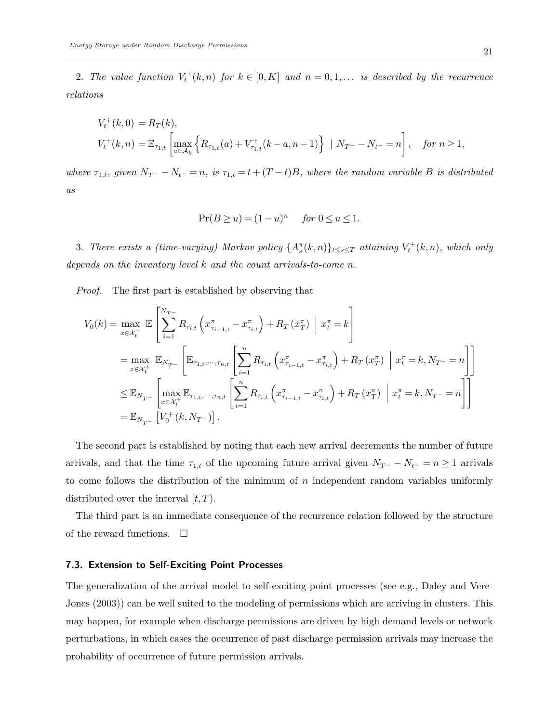2. The value function  $V_t^+(k,n)$  for  $k \in [0,K]$  and  $n = 0,1,...$  is described by the recurrence relations

$$
V_t^+(k,0) = R_T(k),
$$
  
\n
$$
V_t^+(k,n) = \mathbb{E}_{\tau_{1,t}} \left[ \max_{a \in \mathcal{A}_k} \left\{ R_{\tau_{1,t}}(a) + V_{\tau_{1,t}}^+(k-a, n-1) \right\} \mid N_{T^-} - N_{t^-} = n \right], \quad \text{for } n \ge 1,
$$

where  $\tau_{1,t}$ , given  $N_{T^-} - N_{t^-} = n$ , is  $\tau_{1,t} = t + (T-t)B$ , where the random variable B is distributed as

$$
\Pr(B \ge u) = (1 - u)^n \quad \text{for } 0 \le u \le 1.
$$

3. There exists a (time-varying) Markov policy  $\{A_s^{\pi}(k,n)\}_{t\leq s\leq T}$  attaining  $V_t^+(k,n)$ , which only depends on the inventory level k and the count arrivals-to-come n.

Proof. The first part is established by observing that

$$
V_{0}(k) = \max_{x \in \mathcal{X}_{t}^{+}} \mathbb{E} \left[ \sum_{i=1}^{N_{T^{-}}} R_{\tau_{i,t}} \left( x_{\tau_{i-1,t}}^{\pi} - x_{\tau_{i,t}}^{\pi} \right) + R_{T} \left( x_{T}^{\pi} \right) \middle| x_{t}^{\pi} = k \right]
$$
  
\n
$$
= \max_{x \in \mathcal{X}_{t}^{+}} \mathbb{E}_{N_{T^{-}}} \left[ \mathbb{E}_{\tau_{1,t}, \dots, \tau_{n,t}} \left[ \sum_{i=1}^{n} R_{\tau_{i,t}} \left( x_{\tau_{i-1,t}}^{\pi} - x_{\tau_{i,t}}^{\pi} \right) + R_{T} \left( x_{T}^{\pi} \right) \middle| x_{t}^{\pi} = k, N_{T^{-}} = n \right] \right]
$$
  
\n
$$
\leq \mathbb{E}_{N_{T^{-}}} \left[ \max_{x \in \mathcal{X}_{t}^{+}} \mathbb{E}_{\tau_{1,t}, \dots, \tau_{n,t}} \left[ \sum_{i=1}^{n} R_{\tau_{i,t}} \left( x_{\tau_{i-1,t}}^{\pi} - x_{\tau_{i,t}}^{\pi} \right) + R_{T} \left( x_{T}^{\pi} \right) \middle| x_{t}^{\pi} = k, N_{T^{-}} = n \right] \right]
$$
  
\n
$$
= \mathbb{E}_{N_{T^{-}}} \left[ V_{0}^{+}(k, N_{T^{-}}) \right].
$$

The second part is established by noting that each new arrival decrements the number of future arrivals, and that the time  $\tau_{1,t}$  of the upcoming future arrival given  $N_{T^-} - N_{t^-} = n \ge 1$  arrivals to come follows the distribution of the minimum of  $n$  independent random variables uniformly distributed over the interval  $[t, T)$ .

The third part is an immediate consequence of the recurrence relation followed by the structure of the reward functions.  $\Box$ 

#### 7.3. Extension to Self-Exciting Point Processes

The generalization of the arrival model to self-exciting point processes (see e.g., Daley and Vere-Jones (2003)) can be well suited to the modeling of permissions which are arriving in clusters. This may happen, for example when discharge permissions are driven by high demand levels or network perturbations, in which cases the occurrence of past discharge permission arrivals may increase the probability of occurrence of future permission arrivals.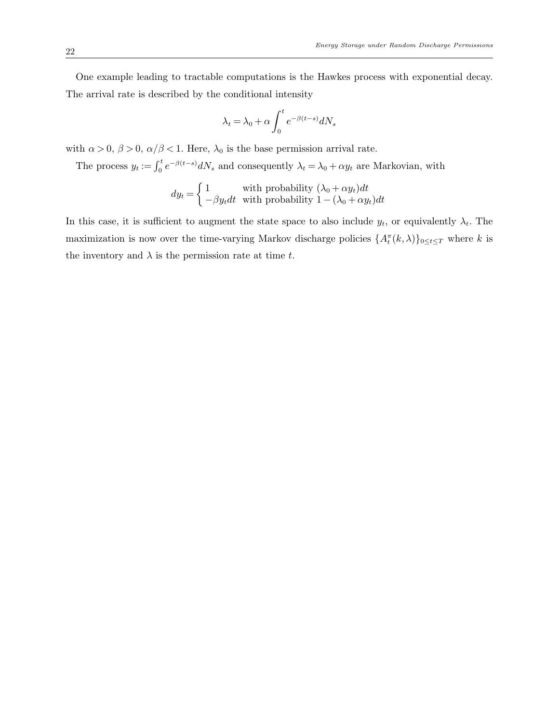One example leading to tractable computations is the Hawkes process with exponential decay. The arrival rate is described by the conditional intensity

$$
\lambda_t = \lambda_0 + \alpha \int_0^t e^{-\beta(t-s)} dN_s
$$

with  $\alpha > 0$ ,  $\beta > 0$ ,  $\alpha/\beta < 1$ . Here,  $\lambda_0$  is the base permission arrival rate.

The process  $y_t := \int_0^t e^{-\beta(t-s)} dN_s$  and consequently  $\lambda_t = \lambda_0 + \alpha y_t$  are Markovian, with

$$
dy_t = \begin{cases} 1 & \text{with probability } (\lambda_0 + \alpha y_t) dt \\ -\beta y_t dt & \text{with probability } 1 - (\lambda_0 + \alpha y_t) dt \end{cases}
$$

In this case, it is sufficient to augment the state space to also include  $y_t$ , or equivalently  $\lambda_t$ . The maximization is now over the time-varying Markov discharge policies  $\{A_t^{\pi}(k,\lambda)\}_{0\leq t\leq T}$  where k is the inventory and  $\lambda$  is the permission rate at time t.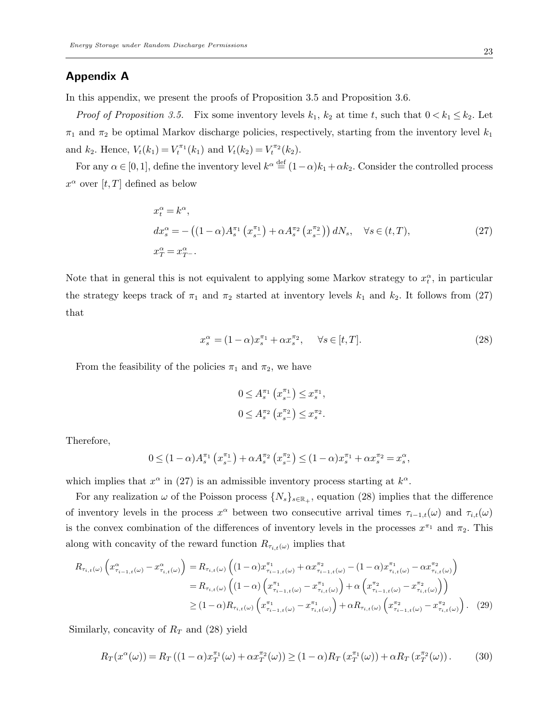## Appendix A

In this appendix, we present the proofs of Proposition 3.5 and Proposition 3.6.

*Proof of Proposition 3.5.* Fix some inventory levels  $k_1$ ,  $k_2$  at time t, such that  $0 < k_1 \leq k_2$ . Let  $\pi_1$  and  $\pi_2$  be optimal Markov discharge policies, respectively, starting from the inventory level  $k_1$ and  $k_2$ . Hence,  $V_t(k_1) = V_t^{\pi_1}(k_1)$  and  $V_t(k_2) = V_t^{\pi_2}(k_2)$ .

For any  $\alpha \in [0,1]$ , define the inventory level  $k^{\alpha} \stackrel{\text{def}}{=} (1-\alpha)k_1 + \alpha k_2$ . Consider the controlled process  $x^{\alpha}$  over  $[t, T]$  defined as below

$$
x_t^{\alpha} = k^{\alpha},
$$
  
\n
$$
dx_s^{\alpha} = -((1 - \alpha)A_s^{\pi_1}(x_{s-}^{\pi_1}) + \alpha A_s^{\pi_2}(x_{s-}^{\pi_2})) dN_s, \quad \forall s \in (t, T),
$$
  
\n
$$
x_T^{\alpha} = x_T^{\alpha}.
$$
\n(27)

Note that in general this is not equivalent to applying some Markov strategy to  $x_t^{\alpha}$ , in particular the strategy keeps track of  $\pi_1$  and  $\pi_2$  started at inventory levels  $k_1$  and  $k_2$ . It follows from (27) that

$$
x_s^{\alpha} = (1 - \alpha)x_s^{\pi_1} + \alpha x_s^{\pi_2}, \quad \forall s \in [t, T].
$$
\n
$$
(28)
$$

From the feasibility of the policies  $\pi_1$  and  $\pi_2$ , we have

$$
0 \leq A_s^{\pi_1} (x_{s^-}^{\pi_1}) \leq x_s^{\pi_1},
$$
  

$$
0 \leq A_s^{\pi_2} (x_{s^-}^{\pi_2}) \leq x_s^{\pi_2}.
$$

Therefore,

$$
0 \le (1 - \alpha) A_s^{\pi_1} \left( x_{s^-}^{\pi_1} \right) + \alpha A_s^{\pi_2} \left( x_{s^-}^{\pi_2} \right) \le (1 - \alpha) x_s^{\pi_1} + \alpha x_s^{\pi_2} = x_s^{\alpha},
$$

which implies that  $x^{\alpha}$  in (27) is an admissible inventory process starting at  $k^{\alpha}$ .

For any realization  $\omega$  of the Poisson process  $\{N_s\}_{s\in\mathbb{R}_+}$ , equation (28) implies that the difference of inventory levels in the process  $x^{\alpha}$  between two consecutive arrival times  $\tau_{i-1,t}(\omega)$  and  $\tau_{i,t}(\omega)$ is the convex combination of the differences of inventory levels in the processes  $x^{\pi_1}$  and  $\pi_2$ . This along with concavity of the reward function  $R_{\tau_{i,t}(\omega)}$  implies that

$$
R_{\tau_{i,t}(\omega)}\left(x_{\tau_{i-1,t}(\omega)}^{\alpha} - x_{\tau_{i,t}(\omega)}^{\alpha}\right) = R_{\tau_{i,t}(\omega)}\left((1-\alpha)x_{\tau_{i-1,t}(\omega)}^{\pi_1} + \alpha x_{\tau_{i-1,t}(\omega)}^{\pi_2} - (1-\alpha)x_{\tau_{i,t}(\omega)}^{\pi_1} - \alpha x_{\tau_{i,t}(\omega)}^{\pi_2}\right)
$$
  
\n
$$
= R_{\tau_{i,t}(\omega)}\left((1-\alpha)\left(x_{\tau_{i-1,t}(\omega)}^{\pi_1} - x_{\tau_{i,t}(\omega)}^{\pi_1}\right) + \alpha\left(x_{\tau_{i-1,t}(\omega)}^{\pi_2} - x_{\tau_{i,t}(\omega)}^{\pi_2}\right)\right)
$$
  
\n
$$
\geq (1-\alpha)R_{\tau_{i,t}(\omega)}\left(x_{\tau_{i-1,t}(\omega)}^{\pi_1} - x_{\tau_{i,t}(\omega)}^{\pi_1}\right) + \alpha R_{\tau_{i,t}(\omega)}\left(x_{\tau_{i-1,t}(\omega)}^{\pi_2} - x_{\tau_{i,t}(\omega)}^{\pi_2}\right).
$$
 (29)

Similarly, concavity of  $R_T$  and (28) yield

$$
R_T(x^{\alpha}(\omega)) = R_T((1-\alpha)x_T^{\pi_1}(\omega) + \alpha x_T^{\pi_2}(\omega)) \ge (1-\alpha)R_T(x_T^{\pi_1}(\omega)) + \alpha R_T(x_T^{\pi_2}(\omega)).
$$
 (30)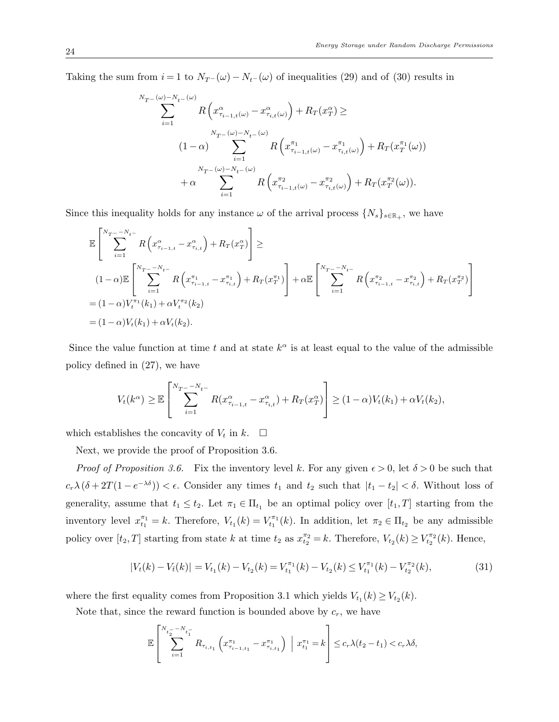Taking the sum from  $i = 1$  to  $N_{T}$ - $(\omega)$  -  $N_{t}$ - $(\omega)$  of inequalities (29) and of (30) results in

$$
\sum_{i=1}^{N_{T^{-}}(\omega)-N_{t^{-}}(\omega)} R\left(x_{\tau_{i-1,t}(\omega)}^{\alpha} - x_{\tau_{i,t}(\omega)}^{\alpha}\right) + R_{T}(x_{T}^{\alpha}) \ge
$$
\n
$$
(1-\alpha) \sum_{i=1}^{N_{T^{-}}(\omega)-N_{t^{-}}(\omega)} R\left(x_{\tau_{i-1,t}(\omega)}^{\pi_{1}} - x_{\tau_{i,t}(\omega)}^{\pi_{1}}\right) + R_{T}(x_{T}^{\pi_{1}}(\omega))
$$
\n
$$
+ \alpha \sum_{i=1}^{N_{T^{-}}(\omega)-N_{t^{-}}(\omega)} R\left(x_{\tau_{i-1,t}(\omega)}^{\pi_{2}} - x_{\tau_{i,t}(\omega)}^{\pi_{2}}\right) + R_{T}(x_{T}^{\pi_{2}}(\omega)).
$$

Since this inequality holds for any instance  $\omega$  of the arrival process  $\{N_s\}_{s\in\mathbb{R}_+}$ , we have

$$
\mathbb{E}\left[\sum_{i=1}^{N_{T^{-}}-N_{t^{-}}}\n R\left(x_{\tau_{i-1,t}}^{\alpha}-x_{\tau_{i,t}}^{\alpha}\right)+R_{T}(x_{T}^{\alpha})\right]\n \ge\n =\n \left[ \sum_{i=1}^{N_{T^{-}}-N_{t^{-}}}\n R\left(x_{\tau_{i-1,t}}^{\pi_{1}}-x_{\tau_{i,t}}^{\pi_{1}}\right)+R_{T}(x_{T}^{\pi_{1}})\n \right]+\n \alpha \mathbb{E}\left[\sum_{i=1}^{N_{T^{-}}-N_{t^{-}}}\n R\left(x_{\tau_{i-1,t}}^{\pi_{2}}-x_{\tau_{i,t}}^{\pi_{2}}\right)+R_{T}(x_{T}^{\pi_{2}})\n \right]\n =\n (1-\alpha)V_{t}^{(\pi_{1}}(k_{1})+\n \alpha V_{t}^{(\pi_{2})\n \tag{k_{2}}.
$$

Since the value function at time t and at state  $k^{\alpha}$  is at least equal to the value of the admissible policy defined in (27), we have

$$
V_t(k^{\alpha}) \geq \mathbb{E}\left[\sum_{i=1}^{N_T - N_t -} R(x^{\alpha}_{\tau_{i-1,t}} - x^{\alpha}_{\tau_{i,t}}) + R_T(x^{\alpha}_T)\right] \geq (1 - \alpha)V_t(k_1) + \alpha V_t(k_2),
$$

which establishes the concavity of  $V_t$  in  $k$ .  $\Box$ 

Next, we provide the proof of Proposition 3.6.

*Proof of Proposition 3.6.* Fix the inventory level k. For any given  $\epsilon > 0$ , let  $\delta > 0$  be such that  $c_r\lambda(\delta+2T(1-e^{-\lambda\delta}))<\epsilon$ . Consider any times  $t_1$  and  $t_2$  such that  $|t_1-t_2|<\delta$ . Without loss of generality, assume that  $t_1 \leq t_2$ . Let  $\pi_1 \in \Pi_{t_1}$  be an optimal policy over  $[t_1, T]$  starting from the inventory level  $x_{t_1}^{\pi_1} = k$ . Therefore,  $V_{t_1}(k) = V_{t_1}^{\pi_1}(k)$ . In addition, let  $\pi_2 \in \Pi_{t_2}$  be any admissible policy over  $[t_2, T]$  starting from state k at time  $t_2$  as  $x_{t_2}^{\pi_2} = k$ . Therefore,  $V_{t_2}(k) \ge V_{t_2}^{\pi_2}(k)$ . Hence,

$$
|V_t(k) - V_{\bar{t}}(k)| = V_{t_1}(k) - V_{t_2}(k) = V_{t_1}^{\pi_1}(k) - V_{t_2}(k) \le V_{t_1}^{\pi_1}(k) - V_{t_2}^{\pi_2}(k),
$$
\n(31)

where the first equality comes from Proposition 3.1 which yields  $V_{t_1}(k) \geq V_{t_2}(k)$ .

Note that, since the reward function is bounded above by  $c_r$ , we have

$$
\mathbb{E}\left[\sum_{i=1}^{N_{t_2} - N_{t_1}} R_{\tau_{i,t_1}}\left(x_{\tau_{i-1,t_1}}^{\pi_1} - x_{\tau_{i,t_1}}^{\pi_1}\right) \middle| x_{t_1}^{\pi_1} = k\right] \le c_r \lambda(t_2 - t_1) < c_r \lambda \delta,
$$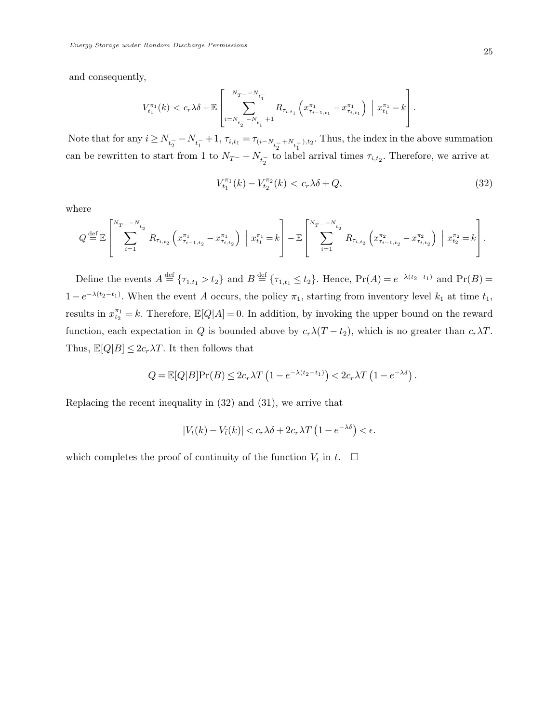and consequently,

$$
V_{t_1}^{\pi_1}(k) < c_r \lambda \delta + \mathbb{E} \left[ \sum_{i=N_{t_2^-} - N_{t_1^-} + 1}^{N_{T^-} - N_{t_1^-}} R_{\tau_{i,t_1}} \left( x_{\tau_{i-1,t_1}}^{\pi_1} - x_{\tau_{i,t_1}}^{\pi_1} \right) \middle| x_{t_1}^{\pi_1} = k \right].
$$

Note that for any  $i \ge N_{t_2^-} - N_{t_1^-} + 1$ ,  $\tau_{i,t_1} = \tau_{(i-N_{t_2^-} + N_{t_1^-}),t_2}$ . Thus, the index in the above summation can be rewritten to start from 1 to  $N_{T}$  –  $N_{t_2}$  to label arrival times  $\tau_{i,t_2}$ . Therefore, we arrive at

$$
V_{t_1}^{\pi_1}(k) - V_{t_2}^{\pi_2}(k) < c_r \lambda \delta + Q,\tag{32}
$$

where

$$
Q \stackrel{\text{def}}{=} \mathbb{E} \left[ \sum_{i=1}^{N_T - N_{t_2^-}} R_{\tau_{i,t_2}} \left( x_{\tau_{i-1,t_2}}^{\pi_1} - x_{\tau_{i,t_2}}^{\pi_1} \right) \middle| x_{t_1}^{\pi_1} = k \right] - \mathbb{E} \left[ \sum_{i=1}^{N_T - N_{t_2^-}} R_{\tau_{i,t_2}} \left( x_{\tau_{i-1,t_2}}^{\pi_2} - x_{\tau_{i,t_2}}^{\pi_2} \right) \middle| x_{t_2}^{\pi_2} = k \right].
$$

Define the events  $A \stackrel{\text{def}}{=} \{\tau_{1,t_1} > t_2\}$  and  $B \stackrel{\text{def}}{=} \{\tau_{1,t_1} \le t_2\}$ . Hence,  $\Pr(A) = e^{-\lambda(t_2 - t_1)}$  and  $\Pr(B) =$  $1-e^{-\lambda(t_2-t_1)}$ . When the event A occurs, the policy  $\pi_1$ , starting from inventory level  $k_1$  at time  $t_1$ , results in  $x_{t_2}^{\pi_1} = k$ . Therefore,  $\mathbb{E}[Q|A] = 0$ . In addition, by invoking the upper bound on the reward function, each expectation in Q is bounded above by  $c_r\lambda(T-t_2)$ , which is no greater than  $c_r\lambda T$ . Thus,  $\mathbb{E}[Q|B] \leq 2c_r\lambda T$ . It then follows that

$$
Q = \mathbb{E}[Q|B]\Pr(B) \le 2c_r\lambda T\left(1 - e^{-\lambda(t_2 - t_1)}\right) < 2c_r\lambda T\left(1 - e^{-\lambda\delta}\right).
$$

Replacing the recent inequality in (32) and (31), we arrive that

$$
|V_t(k) - V_{\bar{t}}(k)| < c_r \lambda \delta + 2c_r \lambda T \left(1 - e^{-\lambda \delta}\right) < \epsilon.
$$

which completes the proof of continuity of the function  $V_t$  in  $t$ .  $\Box$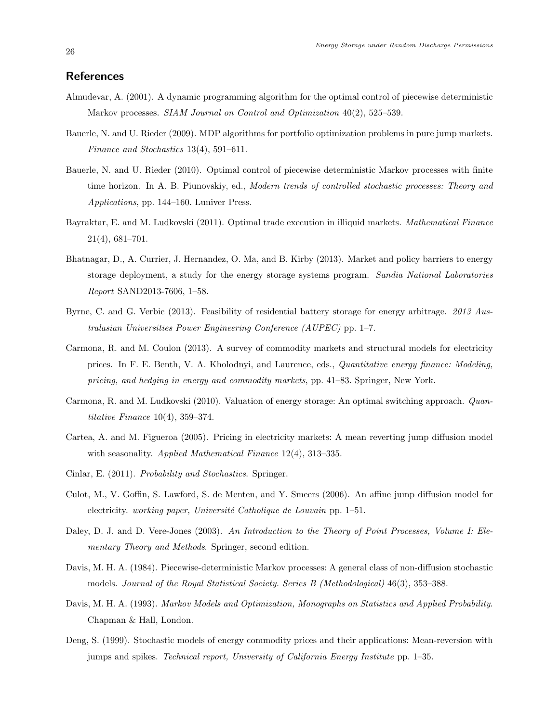## References

- Almudevar, A. (2001). A dynamic programming algorithm for the optimal control of piecewise deterministic Markov processes. SIAM Journal on Control and Optimization  $40(2)$ , 525–539.
- Bauerle, N. and U. Rieder (2009). MDP algorithms for portfolio optimization problems in pure jump markets. Finance and Stochastics 13(4), 591–611.
- Bauerle, N. and U. Rieder (2010). Optimal control of piecewise deterministic Markov processes with finite time horizon. In A. B. Piunovskiy, ed., Modern trends of controlled stochastic processes: Theory and Applications, pp. 144–160. Luniver Press.
- Bayraktar, E. and M. Ludkovski (2011). Optimal trade execution in illiquid markets. Mathematical Finance 21(4), 681–701.
- Bhatnagar, D., A. Currier, J. Hernandez, O. Ma, and B. Kirby (2013). Market and policy barriers to energy storage deployment, a study for the energy storage systems program. Sandia National Laboratories Report SAND2013-7606, 1–58.
- Byrne, C. and G. Verbic (2013). Feasibility of residential battery storage for energy arbitrage. 2013 Australasian Universities Power Engineering Conference (AUPEC) pp. 1–7.
- Carmona, R. and M. Coulon (2013). A survey of commodity markets and structural models for electricity prices. In F. E. Benth, V. A. Kholodnyi, and Laurence, eds., *Quantitative energy finance: Modeling*, pricing, and hedging in energy and commodity markets, pp. 41–83. Springer, New York.
- Carmona, R. and M. Ludkovski (2010). Valuation of energy storage: An optimal switching approach. Quantitative Finance 10(4), 359–374.
- Cartea, A. and M. Figueroa (2005). Pricing in electricity markets: A mean reverting jump diffusion model with seasonality. Applied Mathematical Finance 12(4), 313–335.
- Cinlar, E. (2011). Probability and Stochastics. Springer.
- Culot, M., V. Goffin, S. Lawford, S. de Menten, and Y. Smeers (2006). An affine jump diffusion model for electricity. working paper, Université Catholique de Louvain pp.  $1-51$ .
- Daley, D. J. and D. Vere-Jones (2003). An Introduction to the Theory of Point Processes, Volume I: Elementary Theory and Methods. Springer, second edition.
- Davis, M. H. A. (1984). Piecewise-deterministic Markov processes: A general class of non-diffusion stochastic models. Journal of the Royal Statistical Society. Series B (Methodological) 46(3), 353–388.
- Davis, M. H. A. (1993). Markov Models and Optimization, Monographs on Statistics and Applied Probability. Chapman & Hall, London.
- Deng, S. (1999). Stochastic models of energy commodity prices and their applications: Mean-reversion with jumps and spikes. Technical report, University of California Energy Institute pp. 1–35.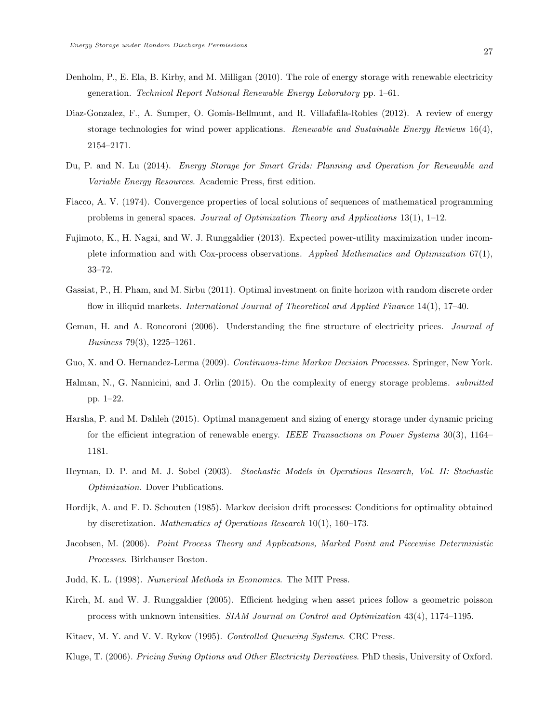- Denholm, P., E. Ela, B. Kirby, and M. Milligan (2010). The role of energy storage with renewable electricity generation. Technical Report National Renewable Energy Laboratory pp. 1–61.
- Diaz-Gonzalez, F., A. Sumper, O. Gomis-Bellmunt, and R. Villafafila-Robles (2012). A review of energy storage technologies for wind power applications. Renewable and Sustainable Energy Reviews  $16(4)$ , 2154–2171.
- Du, P. and N. Lu (2014). Energy Storage for Smart Grids: Planning and Operation for Renewable and Variable Energy Resources. Academic Press, first edition.
- Fiacco, A. V. (1974). Convergence properties of local solutions of sequences of mathematical programming problems in general spaces. Journal of Optimization Theory and Applications  $13(1)$ ,  $1-12$ .
- Fujimoto, K., H. Nagai, and W. J. Runggaldier (2013). Expected power-utility maximization under incomplete information and with Cox-process observations. Applied Mathematics and Optimization 67(1), 33–72.
- Gassiat, P., H. Pham, and M. Sirbu (2011). Optimal investment on finite horizon with random discrete order flow in illiquid markets. *International Journal of Theoretical and Applied Finance* 14(1), 17–40.
- Geman, H. and A. Roncoroni (2006). Understanding the fine structure of electricity prices. Journal of Business 79(3), 1225–1261.
- Guo, X. and O. Hernandez-Lerma (2009). Continuous-time Markov Decision Processes. Springer, New York.
- Halman, N., G. Nannicini, and J. Orlin (2015). On the complexity of energy storage problems. submitted pp. 1–22.
- Harsha, P. and M. Dahleh (2015). Optimal management and sizing of energy storage under dynamic pricing for the efficient integration of renewable energy. IEEE Transactions on Power Systems 30(3), 1164– 1181.
- Heyman, D. P. and M. J. Sobel (2003). Stochastic Models in Operations Research, Vol. II: Stochastic Optimization. Dover Publications.
- Hordijk, A. and F. D. Schouten (1985). Markov decision drift processes: Conditions for optimality obtained by discretization. Mathematics of Operations Research 10(1), 160–173.
- Jacobsen, M. (2006). Point Process Theory and Applications, Marked Point and Piecewise Deterministic Processes. Birkhauser Boston.
- Judd, K. L. (1998). Numerical Methods in Economics. The MIT Press.
- Kirch, M. and W. J. Runggaldier (2005). Efficient hedging when asset prices follow a geometric poisson process with unknown intensities. SIAM Journal on Control and Optimization 43(4), 1174–1195.
- Kitaev, M. Y. and V. V. Rykov (1995). Controlled Queueing Systems. CRC Press.
- Kluge, T. (2006). Pricing Swing Options and Other Electricity Derivatives. PhD thesis, University of Oxford.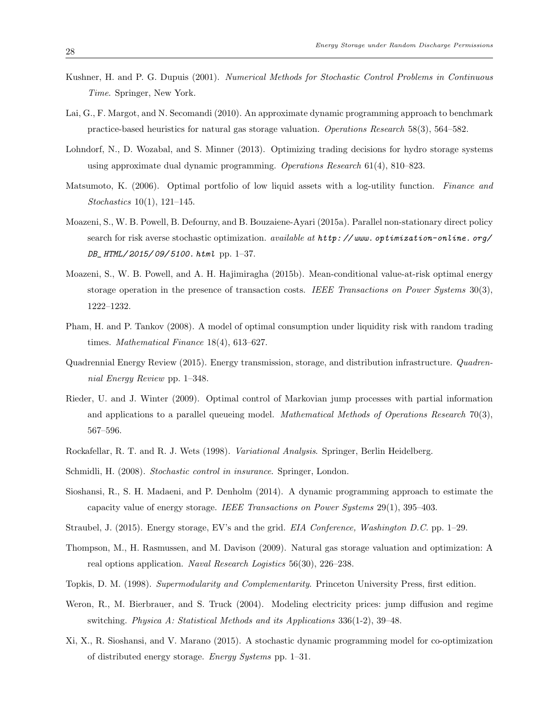- Kushner, H. and P. G. Dupuis (2001). Numerical Methods for Stochastic Control Problems in Continuous Time. Springer, New York.
- Lai, G., F. Margot, and N. Secomandi (2010). An approximate dynamic programming approach to benchmark practice-based heuristics for natural gas storage valuation. Operations Research 58(3), 564–582.
- Lohndorf, N., D. Wozabal, and S. Minner (2013). Optimizing trading decisions for hydro storage systems using approximate dual dynamic programming. Operations Research 61(4), 810–823.
- Matsumoto, K. (2006). Optimal portfolio of low liquid assets with a log-utility function. Finance and Stochastics 10(1), 121–145.
- Moazeni, S., W. B. Powell, B. Defourny, and B. Bouzaiene-Ayari (2015a). Parallel non-stationary direct policy search for risk averse stochastic optimization. available at  $http://www.$  optimization-online. org/ DB\_HTML/2015/09/5100.html pp. 1-37.
- Moazeni, S., W. B. Powell, and A. H. Hajimiragha (2015b). Mean-conditional value-at-risk optimal energy storage operation in the presence of transaction costs. IEEE Transactions on Power Systems  $30(3)$ , 1222–1232.
- Pham, H. and P. Tankov (2008). A model of optimal consumption under liquidity risk with random trading times. Mathematical Finance 18(4), 613–627.
- Quadrennial Energy Review (2015). Energy transmission, storage, and distribution infrastructure. Quadrennial Energy Review pp. 1–348.
- Rieder, U. and J. Winter (2009). Optimal control of Markovian jump processes with partial information and applications to a parallel queueing model. *Mathematical Methods of Operations Research*  $70(3)$ , 567–596.
- Rockafellar, R. T. and R. J. Wets (1998). Variational Analysis. Springer, Berlin Heidelberg.
- Schmidli, H. (2008). Stochastic control in insurance. Springer, London.
- Sioshansi, R., S. H. Madaeni, and P. Denholm (2014). A dynamic programming approach to estimate the capacity value of energy storage. IEEE Transactions on Power Systems 29(1), 395–403.
- Straubel, J. (2015). Energy storage, EV's and the grid. EIA Conference, Washington D.C. pp. 1–29.
- Thompson, M., H. Rasmussen, and M. Davison (2009). Natural gas storage valuation and optimization: A real options application. Naval Research Logistics 56(30), 226–238.
- Topkis, D. M. (1998). Supermodularity and Complementarity. Princeton University Press, first edition.
- Weron, R., M. Bierbrauer, and S. Truck (2004). Modeling electricity prices: jump diffusion and regime switching. Physica A: Statistical Methods and its Applications 336(1-2), 39–48.
- Xi, X., R. Sioshansi, and V. Marano (2015). A stochastic dynamic programming model for co-optimization of distributed energy storage. Energy Systems pp. 1–31.